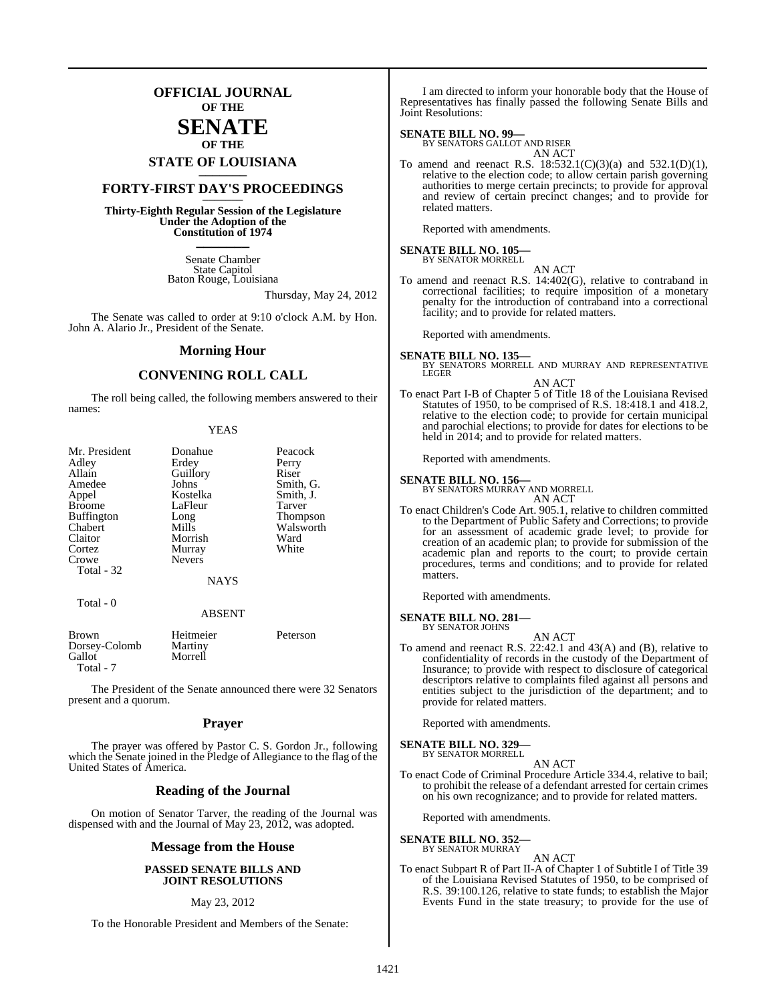### **OFFICIAL JOURNAL OF THE**

### **SENATE OF THE**

# **STATE OF LOUISIANA \_\_\_\_\_\_\_**

### **FORTY-FIRST DAY'S PROCEEDINGS \_\_\_\_\_\_\_**

**Thirty-Eighth Regular Session of the Legislature Under the Adoption of the Constitution of 1974 \_\_\_\_\_\_\_**

> Senate Chamber State Capitol Baton Rouge, Louisiana

> > Thursday, May 24, 2012

The Senate was called to order at 9:10 o'clock A.M. by Hon. John A. Alario Jr., President of the Senate.

#### **Morning Hour**

#### **CONVENING ROLL CALL**

The roll being called, the following members answered to their names:

| Mr. President<br>Adley<br>Allain | Donahue<br>Erdey  | Peacock<br>Perry<br>Riser |
|----------------------------------|-------------------|---------------------------|
| Amedee                           | Guillory<br>Johns | Smith, G.                 |
| Appel                            | Kostelka          | Smith, J.                 |
| <b>Broome</b>                    | LaFleur           | Tarver                    |
| <b>Buffington</b>                | Long              | <b>Thompson</b>           |
| Chabert                          | Mills             | Walsworth                 |
| Claitor                          | Morrish           | Ward                      |
| Cortez                           | Murray            | White                     |
| Crowe                            | <b>Nevers</b>     |                           |
| Total - 32                       |                   |                           |
|                                  | <b>NAYS</b>       |                           |
| Total $-0$                       | <b>ABSENT</b>     |                           |

| <b>Brown</b>  | Heitmeier | Peterson |
|---------------|-----------|----------|
| Dorsey-Colomb | Martiny   |          |
| Gallot        | Morrell   |          |
| Total - 7     |           |          |

The President of the Senate announced there were 32 Senators present and a quorum.

#### **Prayer**

The prayer was offered by Pastor C. S. Gordon Jr., following which the Senate joined in the Pledge of Allegiance to the flag of the United States of America.

#### **Reading of the Journal**

On motion of Senator Tarver, the reading of the Journal was dispensed with and the Journal of May 23, 2012, was adopted.

#### **Message from the House**

#### **PASSED SENATE BILLS AND JOINT RESOLUTIONS**

#### May 23, 2012

To the Honorable President and Members of the Senate:

I am directed to inform your honorable body that the House of Representatives has finally passed the following Senate Bills and Joint Resolutions:

#### **SENATE BILL NO. 99—**

BY SENATORS GALLOT AND RISER AN ACT

To amend and reenact R.S. 18:532.1(C)(3)(a) and 532.1(D)(1), relative to the election code; to allow certain parish governing authorities to merge certain precincts; to provide for approval and review of certain precinct changes; and to provide for related matters.

Reported with amendments.

#### **SENATE BILL NO. 105—** BY SENATOR MORRELL

AN ACT

To amend and reenact R.S. 14:402(G), relative to contraband in correctional facilities; to require imposition of a monetary penalty for the introduction of contraband into a correctional facility; and to provide for related matters.

Reported with amendments.

**SENATE BILL NO. 135—**

BY SENATORS MORRELL AND MURRAY AND REPRESENTATIVE LEGER

#### AN ACT

To enact Part I-B of Chapter 5 of Title 18 of the Louisiana Revised Statutes of 1950, to be comprised of R.S. 18:418.1 and 418.2, relative to the election code; to provide for certain municipal and parochial elections; to provide for dates for elections to be held in 2014; and to provide for related matters.

Reported with amendments.

**SENATE BILL NO. 156—**

BY SENATORS MURRAY AND MORRELL

AN ACT

To enact Children's Code Art. 905.1, relative to children committed to the Department of Public Safety and Corrections; to provide for an assessment of academic grade level; to provide for creation of an academic plan; to provide for submission of the academic plan and reports to the court; to provide certain procedures, terms and conditions; and to provide for related matters.

Reported with amendments.

#### **SENATE BILL NO. 281—** BY SENATOR JOHNS

- 
- AN ACT To amend and reenact R.S. 22:42.1 and 43(A) and (B), relative to confidentiality of records in the custody of the Department of Insurance; to provide with respect to disclosure of categorical descriptors relative to complaints filed against all persons and entities subject to the jurisdiction of the department; and to provide for related matters.

Reported with amendments.

**SENATE BILL NO. 329** BY SENATOR MORRELL

AN ACT

To enact Code of Criminal Procedure Article 334.4, relative to bail; to prohibit the release of a defendant arrested for certain crimes on his own recognizance; and to provide for related matters.

Reported with amendments.

**SENATE BILL NO. 352—** BY SENATOR MURRAY

AN ACT

To enact Subpart R of Part II-A of Chapter 1 of Subtitle I of Title 39 of the Louisiana Revised Statutes of 1950, to be comprised of R.S. 39:100.126, relative to state funds; to establish the Major Events Fund in the state treasury; to provide for the use of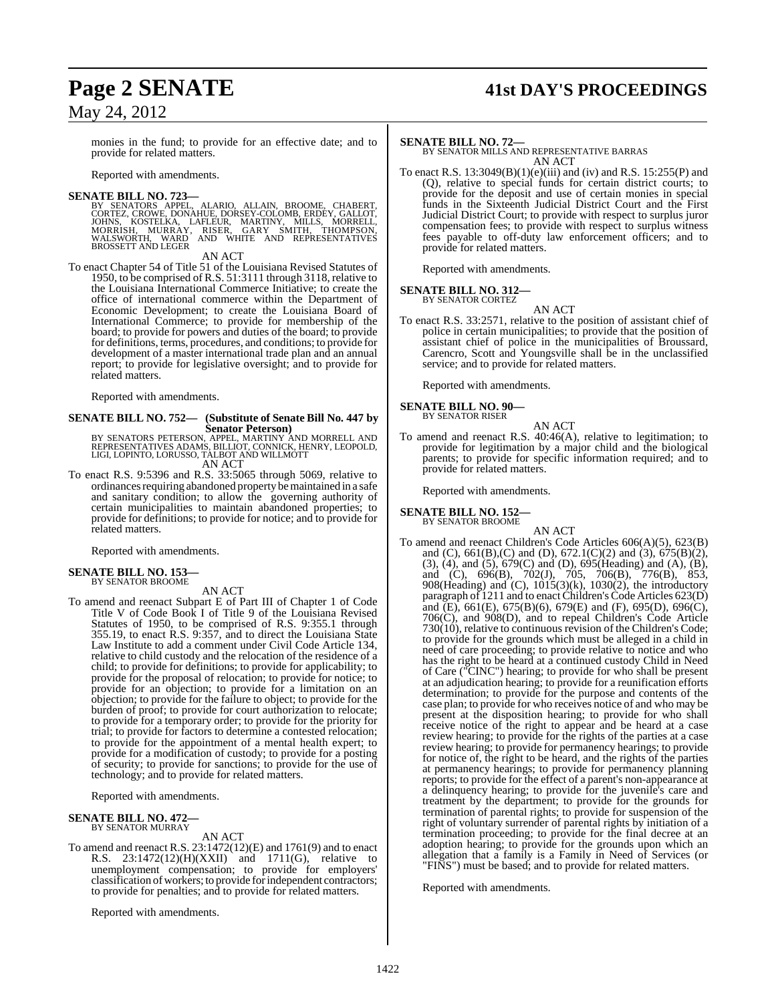## **Page 2 SENATE 41st DAY'S PROCEEDINGS**

monies in the fund; to provide for an effective date; and to provide for related matters.

Reported with amendments.

#### **SENATE BILL NO. 723—**

BY SENATORS APPEL, ALARIO, ALLAIN, BROOME, CHABERT,<br>CORTEZ, CROWE, DONAHUE, DORSEY-COLOMB, ERDEY, GALLOT,<br>JOHNS, KOSTELKA, LAFLEUR, MARTINY, MILLS, MORRELL,<br>MORRISH, MURRAY, RISER, GARY SMITH, THOMPSON,<br>WALSWORTH, WARD AND BROSSETT AND LEGER

AN ACT

To enact Chapter 54 of Title 51 of the Louisiana Revised Statutes of 1950, to be comprised of R.S. 51:3111 through 3118, relative to the Louisiana International Commerce Initiative; to create the office of international commerce within the Department of Economic Development; to create the Louisiana Board of International Commerce; to provide for membership of the board; to provide for powers and duties of the board; to provide for definitions, terms, procedures, and conditions; to provide for development of a master international trade plan and an annual report; to provide for legislative oversight; and to provide for related matters.

Reported with amendments.

#### **SENATE BILL NO. 752— (Substitute of Senate Bill No. 447 by Senator Peterson)**

BY SENATORS PETERSON, APPEL, MARTINY AND MORRELL AND<br>REPRESENTATIVES ADAMS, BILLIOT, CONNICK, HENRY, LEOPOLD,<br>LIGI, LOPINTO, LORUSSO, TALBOT AND WILLMOTT<br>AN ACT

To enact R.S. 9:5396 and R.S. 33:5065 through 5069, relative to ordinances requiring abandoned property be maintained in a safe and sanitary condition; to allow the governing authority of certain municipalities to maintain abandoned properties; to provide for definitions; to provide for notice; and to provide for related matters.

Reported with amendments.

### **SENATE BILL NO. 153—** BY SENATOR BROOME

AN ACT

To amend and reenact Subpart E of Part III of Chapter 1 of Code Title V of Code Book I of Title 9 of the Louisiana Revised Statutes of 1950, to be comprised of R.S. 9:355.1 through 355.19, to enact R.S. 9:357, and to direct the Louisiana State Law Institute to add a comment under Civil Code Article 134, relative to child custody and the relocation of the residence of a child; to provide for definitions; to provide for applicability; to provide for the proposal of relocation; to provide for notice; to provide for an objection; to provide for a limitation on an objection; to provide for the failure to object; to provide for the burden of proof; to provide for court authorization to relocate; to provide for a temporary order; to provide for the priority for trial; to provide for factors to determine a contested relocation; to provide for the appointment of a mental health expert; to provide for a modification of custody; to provide for a posting of security; to provide for sanctions; to provide for the use of technology; and to provide for related matters.

Reported with amendments.

#### **SENATE BILL NO. 472—** BY SENATOR MURRAY

AN ACT

To amend and reenact R.S. 23:1472(12)(E) and 1761(9) and to enact R.S. 23:1472(12)(H)(XXII) and 1711(G), relative to unemployment compensation; to provide for employers' classification of workers; to provide for independent contractors; to provide for penalties; and to provide for related matters.

Reported with amendments.

**SENATE BILL NO. 72—** BY SENATOR MILLS AND REPRESENTATIVE BARRAS AN ACT

To enact R.S. 13:3049(B)(1)(e)(iii) and (iv) and R.S. 15:255(P) and (Q), relative to special funds for certain district courts; to provide for the deposit and use of certain monies in special funds in the Sixteenth Judicial District Court and the First Judicial District Court; to provide with respect to surplus juror compensation fees; to provide with respect to surplus witness fees payable to off-duty law enforcement officers; and to provide for related matters.

Reported with amendments.

#### **SENATE BILL NO. 312—** BY SENATOR CORTEZ

AN ACT

To enact R.S. 33:2571, relative to the position of assistant chief of police in certain municipalities; to provide that the position of assistant chief of police in the municipalities of Broussard, Carencro, Scott and Youngsville shall be in the unclassified service; and to provide for related matters.

Reported with amendments.

#### **SENATE BILL NO. 90—** BY SENATOR RISER

AN ACT

To amend and reenact R.S. 40:46(A), relative to legitimation; to provide for legitimation by a major child and the biological parents; to provide for specific information required; and to provide for related matters.

Reported with amendments.

#### **SENATE BILL NO. 152—** BY SENATOR BROOME

AN ACT

To amend and reenact Children's Code Articles 606(A)(5), 623(B) and (C), 661(B),(C) and (D), 672.1(C)(2) and (3), 675(B)(2), (3), (4), and (5), 679(C) and (D), 695(Heading) and (A), (B), and (C), 696(B), 702(J), 705, 706(B), 776(B), 853, 908(Heading) and (C), 1015(3)(k), 1030(2), the introductory paragraph of 1211 and to enact Children's Code Articles 623(D) and  $(E)$ , 661(E), 675(B)(6), 679(E) and (F), 695(D), 696(C), 706(C), and 908(D), and to repeal Children's Code Article 730(10), relative to continuous revision of the Children's Code; to provide for the grounds which must be alleged in a child in need of care proceeding; to provide relative to notice and who has the right to be heard at a continued custody Child in Need of Care ("CINC") hearing; to provide for who shall be present at an adjudication hearing; to provide for a reunification efforts determination; to provide for the purpose and contents of the case plan; to provide for who receives notice of and who may be present at the disposition hearing; to provide for who shall receive notice of the right to appear and be heard at a case review hearing; to provide for the rights of the parties at a case review hearing; to provide for permanency hearings; to provide for notice of, the right to be heard, and the rights of the parties at permanency hearings; to provide for permanency planning reports; to provide for the effect of a parent's non-appearance at a delinquency hearing; to provide for the juvenile's care and treatment by the department; to provide for the grounds for termination of parental rights; to provide for suspension of the right of voluntary surrender of parental rights by initiation of a termination proceeding; to provide for the final decree at an adoption hearing; to provide for the grounds upon which an allegation that a family is a Family in Need of Services (or "FINS") must be based; and to provide for related matters.

Reported with amendments.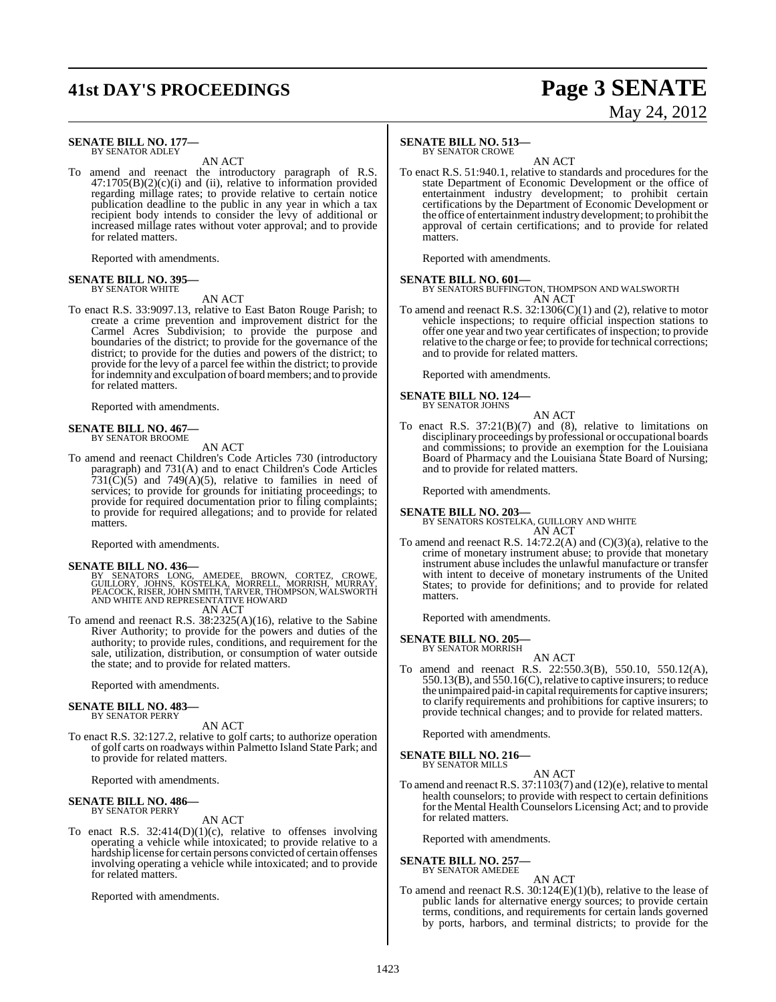## **41st DAY'S PROCEEDINGS Page 3 SENATE**

# May 24, 2012

#### **SENATE BILL NO. 177—** BY SENATOR ADLEY

AN ACT

To amend and reenact the introductory paragraph of R.S.  $47:1705(B)(2)(c)(i)$  and (ii), relative to information provided regarding millage rates; to provide relative to certain notice publication deadline to the public in any year in which a tax recipient body intends to consider the levy of additional or increased millage rates without voter approval; and to provide for related matters.

Reported with amendments.

#### **SENATE BILL NO. 395—** BY SENATOR WHITE

AN ACT

To enact R.S. 33:9097.13, relative to East Baton Rouge Parish; to create a crime prevention and improvement district for the Carmel Acres Subdivision; to provide the purpose and boundaries of the district; to provide for the governance of the district; to provide for the duties and powers of the district; to provide for the levy of a parcel fee within the district; to provide for indemnity and exculpation of board members; and to provide for related matters.

Reported with amendments.

### **SENATE BILL NO. 467—** BY SENATOR BROOME

AN ACT

To amend and reenact Children's Code Articles 730 (introductory paragraph) and 731(A) and to enact Children's Code Articles 731( $\tilde{C}$ )(5) and 749( $\tilde{A}$ )(5), relative to families in need of services; to provide for grounds for initiating proceedings; to provide for required documentation prior to filing complaints; to provide for required allegations; and to provide for related matters.

Reported with amendments.

**SENATE BILL NO. 436—**<br>BY SENATORS LONG, AMEDEE, BROWN, CORTEZ, CROWE,<br>GUILLORY, JOHNS, KOSTELKA, MORRELL, MORRISH, MURRAY,<br>PEACOCK, RISER, JOHN SMITH, TARVER, THOMPSON, WALSWORTH<br>AND WHITE AND REPRESENTATIVE HOWARD AN ACT

To amend and reenact R.S. 38:2325(A)(16), relative to the Sabine

River Authority; to provide for the powers and duties of the authority; to provide rules, conditions, and requirement for the sale, utilization, distribution, or consumption of water outside the state; and to provide for related matters.

Reported with amendments.

#### **SENATE BILL NO. 483—** BY SENATOR PERRY

AN ACT

To enact R.S. 32:127.2, relative to golf carts; to authorize operation of golf carts on roadways within Palmetto Island State Park; and to provide for related matters.

Reported with amendments.

#### **SENATE BILL NO. 486—** BY SENATOR PERRY

AN ACT

To enact R.S. 32:414(D)(1)(c), relative to offenses involving operating a vehicle while intoxicated; to provide relative to a hardship license for certain persons convicted of certain offenses involving operating a vehicle while intoxicated; and to provide for related matters.

Reported with amendments.

#### **SENATE BILL NO. 513—**

BY SENATOR CROWE

AN ACT To enact R.S. 51:940.1, relative to standards and procedures for the state Department of Economic Development or the office of entertainment industry development; to prohibit certain certifications by the Department of Economic Development or the office of entertainment industry development; to prohibit the approval of certain certifications; and to provide for related matters.

Reported with amendments.

**SENATE BILL NO. 601—** BY SENATORS BUFFINGTON, THOMPSON AND WALSWORTH AN ACT

To amend and reenact R.S.  $32:1306(C)(1)$  and (2), relative to motor vehicle inspections; to require official inspection stations to offer one year and two year certificates of inspection; to provide relative to the charge or fee; to provide for technical corrections; and to provide for related matters.

Reported with amendments.

#### **SENATE BILL NO. 124—** BY SENATOR JOHNS

AN ACT

To enact R.S.  $37:21(B)(7)$  and (8), relative to limitations on disciplinary proceedings by professional or occupational boards and commissions; to provide an exemption for the Louisiana Board of Pharmacy and the Louisiana State Board of Nursing; and to provide for related matters.

Reported with amendments.

#### **SENATE BILL NO. 203—**

BY SENATORS KOSTELKA, GUILLORY AND WHITE AN ACT

To amend and reenact R.S. 14:72.2(A) and (C)(3)(a), relative to the crime of monetary instrument abuse; to provide that monetary instrument abuse includes the unlawful manufacture or transfer with intent to deceive of monetary instruments of the United States; to provide for definitions; and to provide for related matters.

Reported with amendments.

#### **SENATE BILL NO. 205—** BY SENATOR MORRISH

- 
- AN ACT To amend and reenact R.S. 22:550.3(B), 550.10, 550.12(A), 550.13(B), and 550.16(C),relative to captive insurers; to reduce the unimpaired paid-in capital requirements for captive insurers; to clarify requirements and prohibitions for captive insurers; to provide technical changes; and to provide for related matters.

Reported with amendments.

**SENATE BILL NO. 216—** BY SENATOR MILLS

AN ACT

To amend and reenact R.S. 37:1103(7) and (12)(e), relative to mental health counselors; to provide with respect to certain definitions for the Mental Health Counselors Licensing Act; and to provide for related matters.

Reported with amendments.

**SENATE BILL NO. 257—** BY SENATOR AMEDEE

#### AN ACT

To amend and reenact R.S. 30:124(E)(1)(b), relative to the lease of public lands for alternative energy sources; to provide certain terms, conditions, and requirements for certain lands governed by ports, harbors, and terminal districts; to provide for the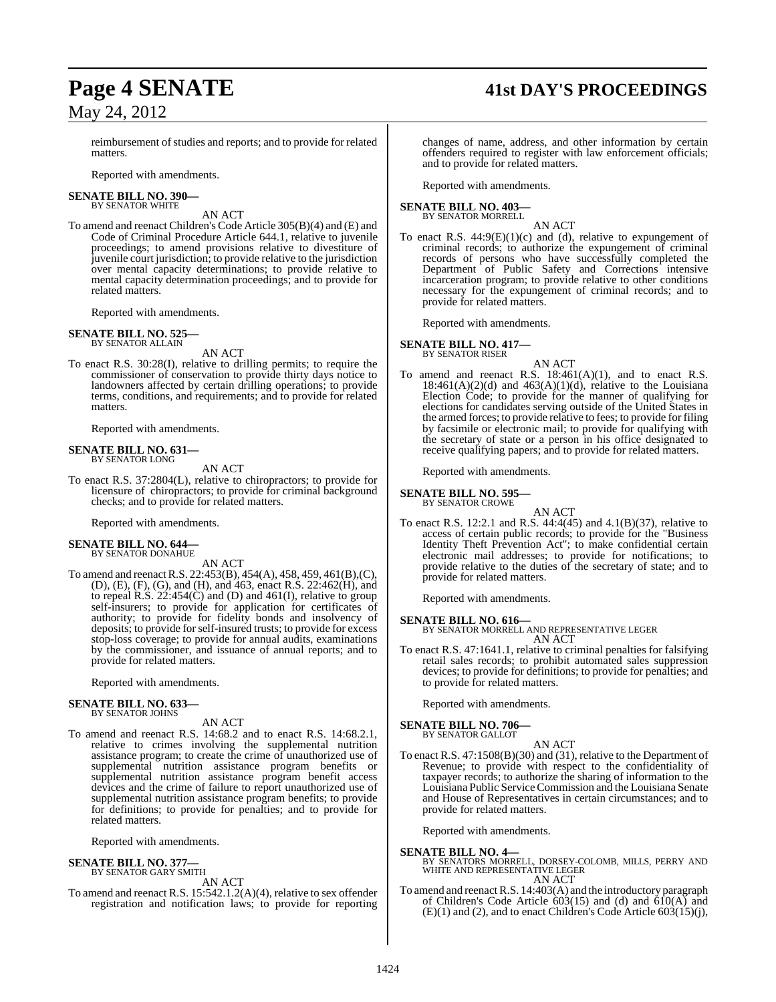## **Page 4 SENATE 41st DAY'S PROCEEDINGS**

reimbursement of studies and reports; and to provide for related matters.

Reported with amendments.

#### **SENATE BILL NO. 390—** BY SENATOR WHITE

AN ACT

To amend and reenact Children's Code Article 305(B)(4) and (E) and Code of Criminal Procedure Article 644.1, relative to juvenile proceedings; to amend provisions relative to divestiture of juvenile court jurisdiction; to provide relative to the jurisdiction over mental capacity determinations; to provide relative to mental capacity determination proceedings; and to provide for related matters.

Reported with amendments.

#### **SENATE BILL NO. 525—** BY SENATOR ALLAIN

AN ACT

To enact R.S. 30:28(I), relative to drilling permits; to require the commissioner of conservation to provide thirty days notice to landowners affected by certain drilling operations; to provide terms, conditions, and requirements; and to provide for related matters.

Reported with amendments.

#### **SENATE BILL NO. 631—** BY SENATOR LONG

AN ACT

To enact R.S. 37:2804(L), relative to chiropractors; to provide for licensure of chiropractors; to provide for criminal background checks; and to provide for related matters.

Reported with amendments.

#### **SENATE BILL NO. 644—**

BY SENATOR DONAHUE AN ACT

To amend and reenactR.S. 22:453(B), 454(A), 458, 459, 461(B),(C), (D), (E), (F), (G), and (H), and 463, enact R.S. 22:462(H), and to repeal R.S.  $22:454(C)$  and (D) and  $461(I)$ , relative to group self-insurers; to provide for application for certificates of authority; to provide for fidelity bonds and insolvency of deposits; to provide forself-insured trusts; to provide for excess stop-loss coverage; to provide for annual audits, examinations by the commissioner, and issuance of annual reports; and to provide for related matters.

Reported with amendments.

#### **SENATE BILL NO. 633—** BY SENATOR JOHNS

#### AN ACT

To amend and reenact R.S. 14:68.2 and to enact R.S. 14:68.2.1, relative to crimes involving the supplemental nutrition assistance program; to create the crime of unauthorized use of supplemental nutrition assistance program benefits or supplemental nutrition assistance program benefit access devices and the crime of failure to report unauthorized use of supplemental nutrition assistance program benefits; to provide for definitions; to provide for penalties; and to provide for related matters.

Reported with amendments.

# **SENATE BILL NO. 377—** BY SENATOR GARY SMITH

AN ACT

To amend and reenact R.S. 15:542.1.2(A)(4), relative to sex offender registration and notification laws; to provide for reporting

changes of name, address, and other information by certain offenders required to register with law enforcement officials; and to provide for related matters.

Reported with amendments.

#### **SENATE BILL NO. 403—**

BY SENATOR MORRELL AN ACT

To enact R.S. 44:9(E)(1)(c) and (d), relative to expungement of criminal records; to authorize the expungement of criminal records of persons who have successfully completed the Department of Public Safety and Corrections intensive incarceration program; to provide relative to other conditions necessary for the expungement of criminal records; and to provide for related matters.

Reported with amendments.

#### **SENATE BILL NO. 417—**

BY SENATOR RISER

AN ACT To amend and reenact R.S.  $18:461(A)(1)$ , and to enact R.S.  $18:461(A)(2)(d)$  and  $463(A)(1)(d)$ , relative to the Louisiana Election Code; to provide for the manner of qualifying for elections for candidates serving outside of the United States in the armed forces; to provide relative to fees; to provide for filing by facsimile or electronic mail; to provide for qualifying with the secretary of state or a person in his office designated to receive qualifying papers; and to provide for related matters.

Reported with amendments.

#### **SENATE BILL NO. 595—** BY SENATOR CROWE

AN ACT

To enact R.S. 12:2.1 and R.S. 44:4(45) and 4.1(B)(37), relative to access of certain public records; to provide for the "Business Identity Theft Prevention Act"; to make confidential certain electronic mail addresses; to provide for notifications; to provide relative to the duties of the secretary of state; and to provide for related matters.

Reported with amendments.

**SENATE BILL NO. 616—** BY SENATOR MORRELL AND REPRESENTATIVE LEGER AN ACT

To enact R.S. 47:1641.1, relative to criminal penalties for falsifying retail sales records; to prohibit automated sales suppression devices; to provide for definitions; to provide for penalties; and to provide for related matters.

Reported with amendments.

#### **SENATE BILL NO. 706—** BY SENATOR GALLOT

AN ACT

To enact R.S. 47:1508(B)(30) and (31), relative to the Department of Revenue; to provide with respect to the confidentiality of taxpayer records; to authorize the sharing of information to the Louisiana Public ServiceCommission and the Louisiana Senate and House of Representatives in certain circumstances; and to provide for related matters.

Reported with amendments.

**SENATE BILL NO. 4—** BY SENATORS MORRELL, DORSEY-COLOMB, MILLS, PERRY AND WHITE AND REPRESENTATIVE LEGER AN ACT

To amend and reenact R.S. 14:403(A) and the introductory paragraph of Children's Code Article  $603(15)$  and  $(d)$  and  $610(A)$  and  $(E)(1)$  and  $(2)$ , and to enact Children's Code Article 603 $(15)(i)$ ,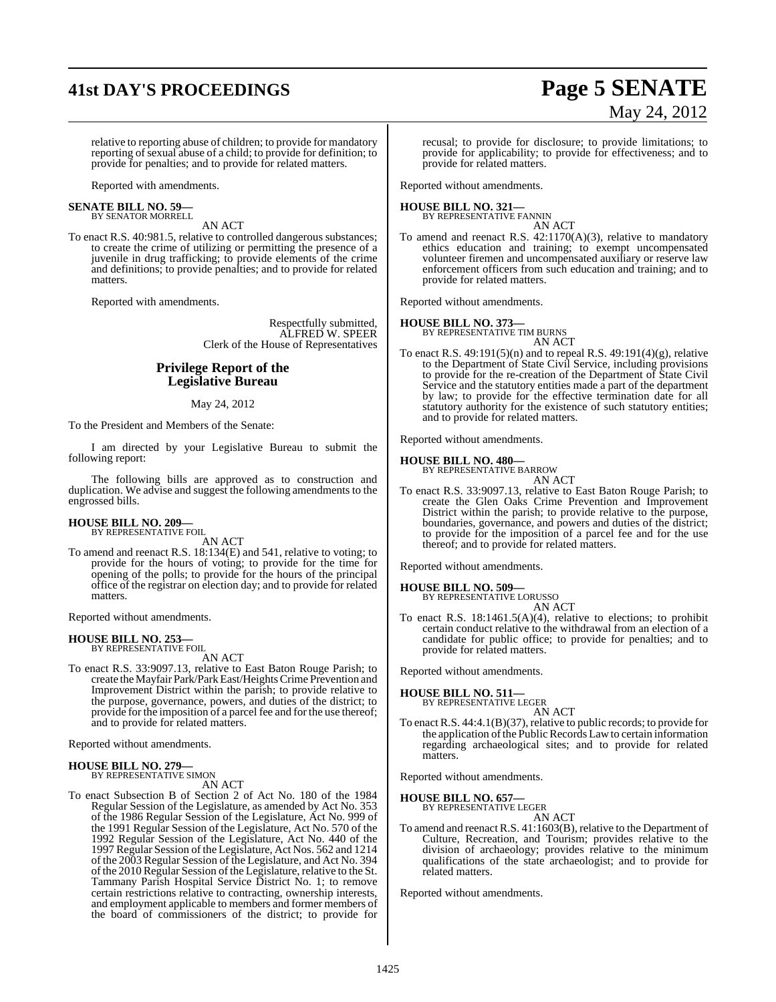## **41st DAY'S PROCEEDINGS Page 5 SENATE**

# May 24, 2012

relative to reporting abuse of children; to provide for mandatory reporting of sexual abuse of a child; to provide for definition; to provide for penalties; and to provide for related matters.

Reported with amendments.

#### **SENATE BILL NO. 59—** BY SENATOR MORRELL

AN ACT

To enact R.S. 40:981.5, relative to controlled dangerous substances; to create the crime of utilizing or permitting the presence of a juvenile in drug trafficking; to provide elements of the crime and definitions; to provide penalties; and to provide for related matters.

Reported with amendments.

Respectfully submitted, ALFRED W. SPEER Clerk of the House of Representatives

### **Privilege Report of the Legislative Bureau**

#### May 24, 2012

To the President and Members of the Senate:

I am directed by your Legislative Bureau to submit the following report:

The following bills are approved as to construction and duplication. We advise and suggest the following amendments to the engrossed bills.

# **HOUSE BILL NO. 209—** BY REPRESENTATIVE FOIL

AN ACT

To amend and reenact R.S. 18:134(E) and 541, relative to voting; to provide for the hours of voting; to provide for the time for opening of the polls; to provide for the hours of the principal office of the registrar on election day; and to provide for related matters.

Reported without amendments.

#### **HOUSE BILL NO. 253—** BY REPRESENTATIVE FOIL

AN ACT

To enact R.S. 33:9097.13, relative to East Baton Rouge Parish; to create the Mayfair Park/Park East/Heights Crime Prevention and Improvement District within the parish; to provide relative to the purpose, governance, powers, and duties of the district; to provide for the imposition of a parcel fee and for the use thereof; and to provide for related matters.

Reported without amendments.

### **HOUSE BILL NO. 279—** BY REPRESENTATIVE SIMON

AN ACT

To enact Subsection B of Section 2 of Act No. 180 of the 1984 Regular Session of the Legislature, as amended by Act No. 353 of the 1986 Regular Session of the Legislature, Act No. 999 of the 1991 Regular Session of the Legislature, Act No. 570 of the 1992 Regular Session of the Legislature, Act No. 440 of the 1997 Regular Session ofthe Legislature, Act Nos. 562 and 1214 of the 2003 Regular Session of the Legislature, and Act No. 394 of the 2010 Regular Session of the Legislature, relative to the St. Tammany Parish Hospital Service District No. 1; to remove certain restrictions relative to contracting, ownership interests, and employment applicable to members and former members of the board of commissioners of the district; to provide for recusal; to provide for disclosure; to provide limitations; to provide for applicability; to provide for effectiveness; and to provide for related matters.

Reported without amendments.

## **HOUSE BILL NO. 321—** BY REPRESENTATIVE FANNIN

AN ACT To amend and reenact R.S. 42:1170(A)(3), relative to mandatory ethics education and training; to exempt uncompensated volunteer firemen and uncompensated auxiliary or reserve law enforcement officers from such education and training; and to provide for related matters.

Reported without amendments.

#### **HOUSE BILL NO. 373—**

BY REPRESENTATIVE TIM BURNS AN ACT

To enact R.S. 49:191(5)(n) and to repeal R.S. 49:191(4)(g), relative to the Department of State Civil Service, including provisions to provide for the re-creation of the Department of State Civil Service and the statutory entities made a part of the department by law; to provide for the effective termination date for all statutory authority for the existence of such statutory entities; and to provide for related matters.

Reported without amendments.

#### **HOUSE BILL NO. 480—**

BY REPRESENTATIVE BARROW AN ACT

To enact R.S. 33:9097.13, relative to East Baton Rouge Parish; to create the Glen Oaks Crime Prevention and Improvement District within the parish; to provide relative to the purpose, boundaries, governance, and powers and duties of the district; to provide for the imposition of a parcel fee and for the use thereof; and to provide for related matters.

Reported without amendments.

#### **HOUSE BILL NO. 509—**

BY REPRESENTATIVE LORUSSO

AN ACT To enact R.S. 18:1461.5(A)(4), relative to elections; to prohibit certain conduct relative to the withdrawal from an election of a candidate for public office; to provide for penalties; and to provide for related matters.

Reported without amendments.

**HOUSE BILL NO. 511—** BY REPRESENTATIVE LEGER

AN ACT

To enact R.S. 44:4.1(B)(37), relative to public records; to provide for the application of the Public Records Law to certain information regarding archaeological sites; and to provide for related matters.

Reported without amendments.

**HOUSE BILL NO. 657—**

BY REPRESENTATIVE LEGER AN ACT

To amend and reenact R.S. 41:1603(B), relative to the Department of Culture, Recreation, and Tourism; provides relative to the division of archaeology; provides relative to the minimum qualifications of the state archaeologist; and to provide for related matters.

Reported without amendments.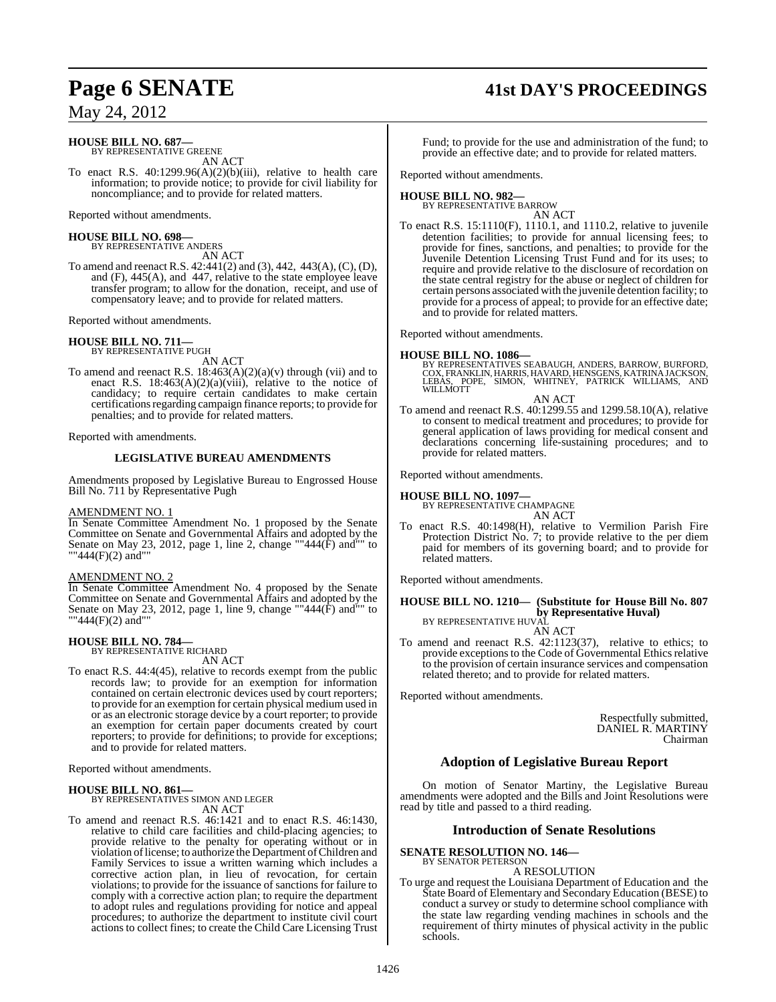#### **HOUSE BILL NO. 687—** BY REPRESENTATIVE GREENE

AN ACT

To enact R.S. 40:1299.96(A)(2)(b)(iii), relative to health care information; to provide notice; to provide for civil liability for noncompliance; and to provide for related matters.

Reported without amendments.

#### **HOUSE BILL NO. 698—**

BY REPRESENTATIVE ANDERS AN ACT

To amend and reenact R.S. 42:441(2) and (3), 442, 443(A), (C), (D), and (F), 445(A), and 447, relative to the state employee leave transfer program; to allow for the donation, receipt, and use of compensatory leave; and to provide for related matters.

Reported without amendments.

## **HOUSE BILL NO. 711—** BY REPRESENTATIVE PUGH

AN ACT

To amend and reenact R.S.  $18:463(A)(2)(a)(v)$  through (vii) and to enact R.S.  $18:463(A)(2)(a)(viii)$ , relative to the notice of candidacy; to require certain candidates to make certain certifications regarding campaign finance reports; to provide for penalties; and to provide for related matters.

Reported with amendments.

#### **LEGISLATIVE BUREAU AMENDMENTS**

Amendments proposed by Legislative Bureau to Engrossed House Bill No. 711 by Representative Pugh

#### AMENDMENT NO. 1

In Senate Committee Amendment No. 1 proposed by the Senate Committee on Senate and Governmental Affairs and adopted by the Senate on May 23, 2012, page 1, line 2, change ""444(F) and"" to ""444(F)(2) and""

#### AMENDMENT NO. 2

In Senate Committee Amendment No. 4 proposed by the Senate Committee on Senate and Governmental Affairs and adopted by the Senate on May 23, 2012, page 1, line 9, change ""444(F) and"" to ""444(F)(2) and""

#### **HOUSE BILL NO. 784—** BY REPRESENTATIVE RICHARD

AN ACT

To enact R.S. 44:4(45), relative to records exempt from the public records law; to provide for an exemption for information contained on certain electronic devices used by court reporters; to provide for an exemption for certain physical medium used in or as an electronic storage device by a court reporter; to provide an exemption for certain paper documents created by court reporters; to provide for definitions; to provide for exceptions; and to provide for related matters.

Reported without amendments.

### **HOUSE BILL NO. 861—** BY REPRESENTATIVES SIMON AND LEGER AN ACT

To amend and reenact R.S. 46:1421 and to enact R.S. 46:1430, relative to child care facilities and child-placing agencies; to provide relative to the penalty for operating without or in violation oflicense; to authorize the Department ofChildren and Family Services to issue a written warning which includes a corrective action plan, in lieu of revocation, for certain violations; to provide for the issuance of sanctions for failure to comply with a corrective action plan; to require the department to adopt rules and regulations providing for notice and appeal procedures; to authorize the department to institute civil court actions to collect fines; to create the Child Care Licensing Trust

### **Page 6 SENATE 41st DAY'S PROCEEDINGS**

Fund; to provide for the use and administration of the fund; to provide an effective date; and to provide for related matters.

Reported without amendments.

#### **HOUSE BILL NO. 982—**

BY REPRESENTATIVE BARROW AN ACT

To enact R.S. 15:1110(F), 1110.1, and 1110.2, relative to juvenile detention facilities; to provide for annual licensing fees; to provide for fines, sanctions, and penalties; to provide for the Juvenile Detention Licensing Trust Fund and for its uses; to require and provide relative to the disclosure of recordation on the state central registry for the abuse or neglect of children for certain persons associated with the juvenile detention facility; to provide for a process of appeal; to provide for an effective date; and to provide for related matters.

Reported without amendments.

**HOUSE BILL NO. 1086—** BY REPRESENTATIVES SEABAUGH, ANDERS, BARROW, BURFORD, COX, FRANKLIN, HARRIS, HAVARD, HENSGENS, KATRINAJACKSON, LEBAS, POPE, SIMON, WHITNEY, PATRICK WILLIAMS, AND WILLMOTT

AN ACT

To amend and reenact R.S. 40:1299.55 and 1299.58.10(A), relative to consent to medical treatment and procedures; to provide for general application of laws providing for medical consent and declarations concerning life-sustaining procedures; and to provide for related matters.

Reported without amendments.

#### **HOUSE BILL NO. 1097—**

BY REPRESENTATIVE CHAMPAGNE AN ACT

To enact R.S. 40:1498(H), relative to Vermilion Parish Fire Protection District No. 7; to provide relative to the per diem paid for members of its governing board; and to provide for related matters.

Reported without amendments.

### **HOUSE BILL NO. 1210— (Substitute for House Bill No. 807 by Representative Huval)**<br>BY REPRESENTATIVE HUVAL

AN ACT

To amend and reenact R.S.  $42:1123(37)$ , relative to ethics; to provide exceptions to the Code of Governmental Ethics relative to the provision of certain insurance services and compensation related thereto; and to provide for related matters.

Reported without amendments.

Respectfully submitted, DANIEL R. MARTINY Chairman

### **Adoption of Legislative Bureau Report**

On motion of Senator Martiny, the Legislative Bureau amendments were adopted and the Bills and Joint Resolutions were read by title and passed to a third reading.

#### **Introduction of Senate Resolutions**

#### **SENATE RESOLUTION NO. 146—** BY SENATOR PETERSON

A RESOLUTION

To urge and request the Louisiana Department of Education and the State Board of Elementary and Secondary Education (BESE) to conduct a survey or study to determine school compliance with the state law regarding vending machines in schools and the requirement of thirty minutes of physical activity in the public schools.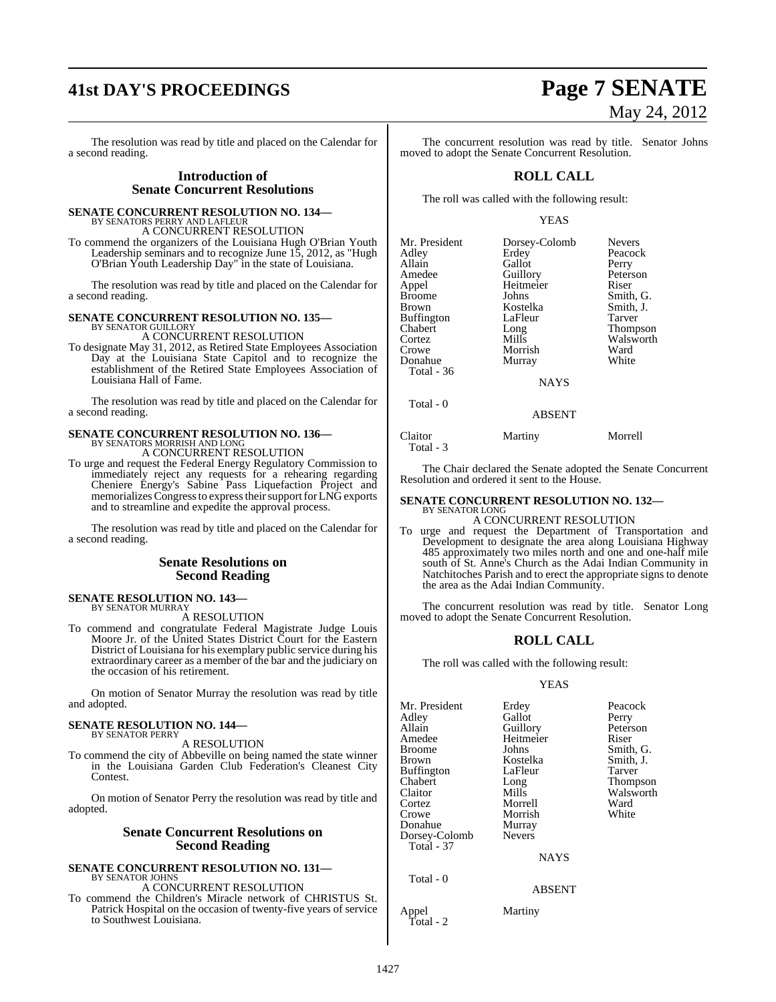# **41st DAY'S PROCEEDINGS Page 7 SENATE**

The resolution was read by title and placed on the Calendar for a second reading.

#### **Introduction of Senate Concurrent Resolutions**

**SENATE CONCURRENT RESOLUTION NO. 134—**

BY SENATORS PERRY AND LAFLEUR A CONCURRENT RESOLUTION

To commend the organizers of the Louisiana Hugh O'Brian Youth Leadership seminars and to recognize June 15, 2012, as "Hugh O'Brian Youth Leadership Day" in the state of Louisiana.

The resolution was read by title and placed on the Calendar for a second reading.

#### **SENATE CONCURRENT RESOLUTION NO. 135—**

BY SENATOR GUILLORY A CONCURRENT RESOLUTION

To designate May 31, 2012, as Retired State Employees Association Day at the Louisiana State Capitol and to recognize the establishment of the Retired State Employees Association of Louisiana Hall of Fame.

The resolution was read by title and placed on the Calendar for a second reading.

### **SENATE CONCURRENT RESOLUTION NO. 136—** BY SENATORS MORRISH AND LONG A CONCURRENT RESOLUTION

To urge and request the Federal Energy Regulatory Commission to

immediately reject any requests for a rehearing regarding Cheniere Energy's Sabine Pass Liquefaction Project and memorializes Congress to express their support for LNG exports and to streamline and expedite the approval process.

The resolution was read by title and placed on the Calendar for a second reading.

#### **Senate Resolutions on Second Reading**

#### **SENATE RESOLUTION NO. 143—** BY SENATOR MURRAY

A RESOLUTION

To commend and congratulate Federal Magistrate Judge Louis Moore Jr. of the United States District Court for the Eastern District of Louisiana for his exemplary public service during his extraordinary career as a member of the bar and the judiciary on the occasion of his retirement.

On motion of Senator Murray the resolution was read by title and adopted.

### **SENATE RESOLUTION NO. 144—** BY SENATOR PERRY

A RESOLUTION

To commend the city of Abbeville on being named the state winner in the Louisiana Garden Club Federation's Cleanest City Contest.

On motion of Senator Perry the resolution was read by title and adopted.

#### **Senate Concurrent Resolutions on Second Reading**

#### **SENATE CONCURRENT RESOLUTION NO. 131—** BY SENATOR JOHNS

A CONCURRENT RESOLUTION

To commend the Children's Miracle network of CHRISTUS St. Patrick Hospital on the occasion of twenty-five years of service to Southwest Louisiana.

# May 24, 2012

The concurrent resolution was read by title. Senator Johns moved to adopt the Senate Concurrent Resolution.

### **ROLL CALL**

The roll was called with the following result:

#### YEAS

| Mr. President<br>Adley<br>Allain<br>Amedee<br>Appel<br><b>Broome</b><br>Brown<br>Buffington<br>Chabert<br>Cortez<br>Crowe<br>Donahue<br>Total - 36 | Dorsey-Colomb<br>Erdey<br>Gallot<br>Guillory<br>Heitmeier<br>Johns<br>Kostelka<br>LaFleur<br>Long<br>Mills<br>Morrish<br>Murray<br><b>NAYS</b> | <b>Nevers</b><br>Peacock<br>Perry<br>Peterson<br>Riser<br>Smith, G.<br>Smith, J.<br>Tarver<br>Thompson<br>Walsworth<br>Ward<br>White |
|----------------------------------------------------------------------------------------------------------------------------------------------------|------------------------------------------------------------------------------------------------------------------------------------------------|--------------------------------------------------------------------------------------------------------------------------------------|
| Total - 0                                                                                                                                          |                                                                                                                                                |                                                                                                                                      |

ABSENT

#### Claitor Martiny Morrell

The Chair declared the Senate adopted the Senate Concurrent Resolution and ordered it sent to the House.

#### **SENATE CONCURRENT RESOLUTION NO. 132—** BY SENATOR LONG

#### A CONCURRENT RESOLUTION

To urge and request the Department of Transportation and Development to designate the area along Louisiana Highway 485 approximately two miles north and one and one-half mile south of St. Anne's Church as the Adai Indian Community in Natchitoches Parish and to erect the appropriate signs to denote the area as the Adai Indian Community.

The concurrent resolution was read by title. Senator Long moved to adopt the Senate Concurrent Resolution.

#### **ROLL CALL**

The roll was called with the following result:

#### YEAS

| Mr. President<br>Adley<br>Allain<br>Amedee<br>Broome<br>Brown<br>Buffington<br>Chabert<br>Claitor<br>Cortez<br>Crowe | Erdey<br>Gallot<br>Guillory<br>Heitmeier<br>Johns<br>Kostelka<br>LaFleur<br>Long<br>Mills<br>Morrell<br>Morrish | Peacock<br>Perry<br>Peterson<br>Riser<br>Smith, G.<br>Smith, J.<br>Tarver<br>Thompson<br>Walsworth<br>Ward<br>White |
|----------------------------------------------------------------------------------------------------------------------|-----------------------------------------------------------------------------------------------------------------|---------------------------------------------------------------------------------------------------------------------|
| Donahue<br>Dorsey-Colomb                                                                                             | Murray<br><b>Nevers</b>                                                                                         |                                                                                                                     |
| <b>Total - 37</b>                                                                                                    | <b>NAYS</b>                                                                                                     |                                                                                                                     |
| Total - 0                                                                                                            | <b>ABSENT</b>                                                                                                   |                                                                                                                     |

Appel Martiny Total - 2

Total - 3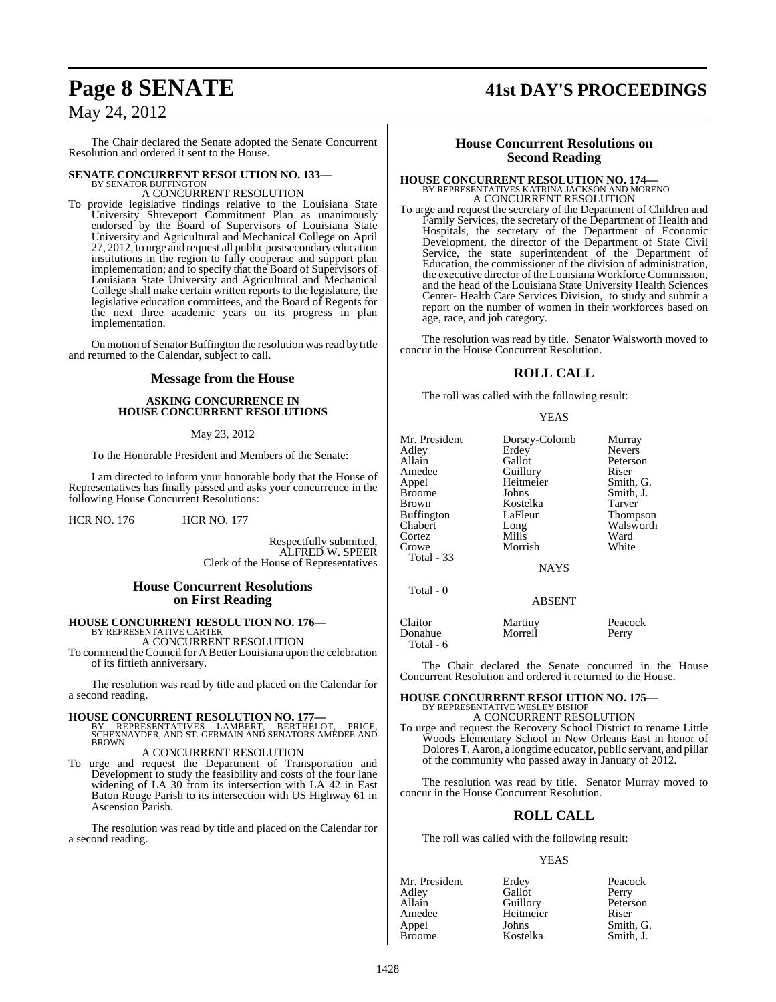# **Page 8 SENATE 41st DAY'S PROCEEDINGS**

### May 24, 2012

The Chair declared the Senate adopted the Senate Concurrent Resolution and ordered it sent to the House.

### **SENATE CONCURRENT RESOLUTION NO. 133-BY SENATOR BUFFINGTON**

A CONCURRENT RESOLUTION

To provide legislative findings relative to the Louisiana State University Shreveport Commitment Plan as unanimously endorsed by the Board of Supervisors of Louisiana State University and Agricultural and Mechanical College on April 27, 2012, to urge and request all public postsecondary education institutions in the region to fully cooperate and support plan implementation; and to specify that the Board of Supervisors of Louisiana State University and Agricultural and Mechanical College shall make certain written reports to the legislature, the legislative education committees, and the Board of Regents for the next three academic years on its progress in plan implementation.

On motion of Senator Buffington the resolution was read by title and returned to the Calendar, subject to call.

#### **Message from the House**

#### **ASKING CONCURRENCE IN HOUSE CONCURRENT RESOLUTIONS**

#### May 23, 2012

To the Honorable President and Members of the Senate:

I am directed to inform your honorable body that the House of Representatives has finally passed and asks your concurrence in the following House Concurrent Resolutions:

HCR NO. 176 HCR NO. 177

Respectfully submitted, ALFRED W. SPEER Clerk of the House of Representatives

#### **House Concurrent Resolutions on First Reading**

## **HOUSE CONCURRENT RESOLUTION NO. 176—** BY REPRESENTATIVE CARTER

A CONCURRENT RESOLUTION To commend the Council for A Better Louisiana upon the celebration of its fiftieth anniversary.

The resolution was read by title and placed on the Calendar for a second reading.

- **HOUSE CONCURRENT RESOLUTION NO. 177—**<br>BY REPRESENTATIVES LAMBERT, BERTHELOT, PRICE,<br>SCHEXNAYDER, AND ST. GERMAIN AND SENATORS AMEDEE AND<br>BROWN A CONCURRENT RESOLUTION
- To urge and request the Department of Transportation and Development to study the feasibility and costs of the four lane widening of LA 30 from its intersection with LA 42 in East Baton Rouge Parish to its intersection with US Highway 61 in Ascension Parish.

The resolution was read by title and placed on the Calendar for a second reading.

### **House Concurrent Resolutions on Second Reading**

### **HOUSE CONCURRENT RESOLUTION NO. 174—** BY REPRESENTATIVES KATRINA JACKSON AND MORENO A CONCURRENT RESOLUTION

To urge and request the secretary of the Department of Children and Family Services, the secretary of the Department of Health and Hospitals, the secretary of the Department of Economic Development, the director of the Department of State Civil Service, the state superintendent of the Department of Education, the commissioner of the division of administration, the executive director of the Louisiana Workforce Commission, and the head of the Louisiana State University Health Sciences Center- Health Care Services Division, to study and submit a report on the number of women in their workforces based on age, race, and job category.

The resolution was read by title. Senator Walsworth moved to concur in the House Concurrent Resolution.

### **ROLL CALL**

The roll was called with the following result:

#### YEAS

| Mr. President<br>Adlev<br>Allain<br>Amedee<br>Appel<br>Broome<br>Brown<br>Buffington<br>Chabert<br>Cortez<br>Crowe<br>Total - 33 | Dorsey-Colomb<br>Erdey<br>Gallot<br>Guillory<br>Heitmeier<br>Johns<br>Kostelka<br>LaFleur<br>Long<br>Mills<br>Morrish<br><b>NAYS</b> | Murray<br><b>Nevers</b><br>Peterson<br>Riser<br>Smith, G.<br>Smith, J.<br>Tarver<br><b>Thompson</b><br>Walsworth<br>Ward<br>White |
|----------------------------------------------------------------------------------------------------------------------------------|--------------------------------------------------------------------------------------------------------------------------------------|-----------------------------------------------------------------------------------------------------------------------------------|
| Total - 0                                                                                                                        | <b>ABSENT</b>                                                                                                                        |                                                                                                                                   |

Claitor Martiny Peacock<br>Donahue Morrell Perry Donahue Total - 6

The Chair declared the Senate concurred in the House Concurrent Resolution and ordered it returned to the House.

# **HOUSE CONCURRENT RESOLUTION NO. 175—** BY REPRESENTATIVE WESLEY BISHOP

A CONCURRENT RESOLUTION

To urge and request the Recovery School District to rename Little Woods Elementary School in New Orleans East in honor of DoloresT. Aaron, a longtime educator, public servant, and pillar of the community who passed away in January of 2012.

The resolution was read by title. Senator Murray moved to concur in the House Concurrent Resolution.

#### **ROLL CALL**

The roll was called with the following result:

#### YEAS

| Mr. President | Erdey     | Peacock   |
|---------------|-----------|-----------|
| Adley         | Gallot    | Perry     |
| Allain        | Guillory  | Peterson  |
| Amedee        | Heitmeier | Riser     |
| Appel         | Johns     | Smith, G. |
| <b>Broome</b> | Kostelka  | Smith. J. |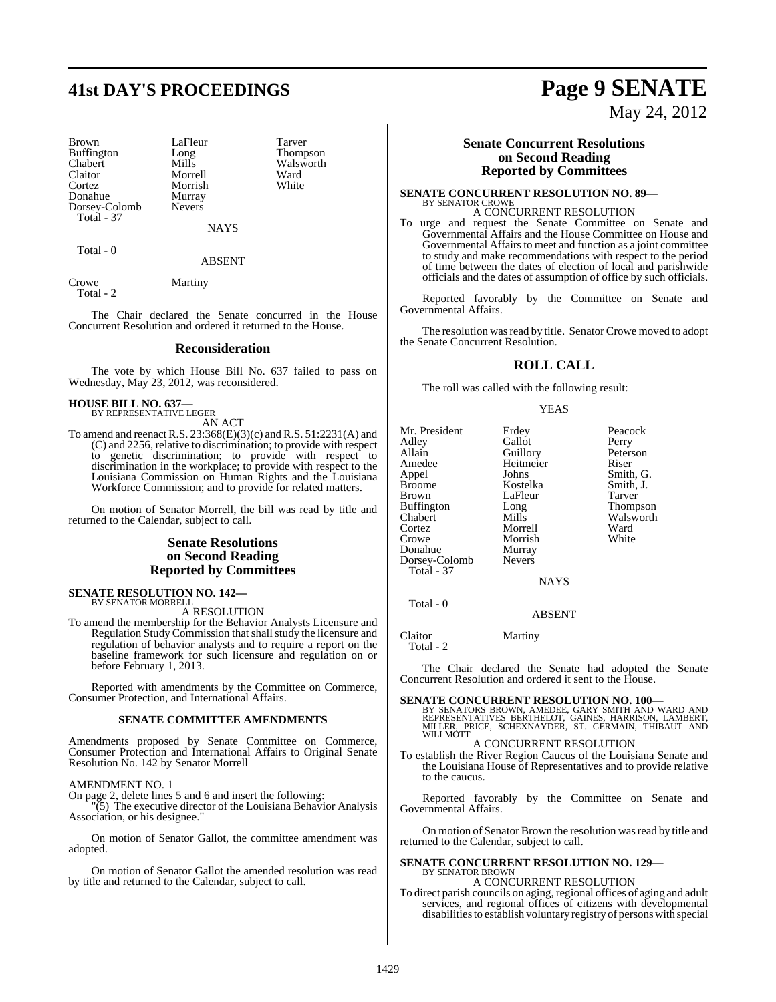# **41st DAY'S PROCEEDINGS Page 9 SENATE**

Morrish

Brown LaFleur Tarver<br>Buffington Long Thompson Buffington Long<br>Chabert Mills Chabert Mills Walsworth<br>
Claitor Morrell Ward Claitor Morrell Ward Donahue Murray<br>Dorsey-Colomb Nevers Dorsey-Colomb Total - 37

NAYS

Total - 0

#### ABSENT

Crowe Martiny

Total - 2

The Chair declared the Senate concurred in the House Concurrent Resolution and ordered it returned to the House.

#### **Reconsideration**

The vote by which House Bill No. 637 failed to pass on Wednesday, May 23, 2012, was reconsidered.

#### **HOUSE BILL NO. 637—** BY REPRESENTATIVE LEGER

AN ACT

To amend and reenactR.S. 23:368(E)(3)(c) and R.S. 51:2231(A) and (C) and 2256, relative to discrimination; to provide with respect to genetic discrimination; to provide with respect to discrimination in the workplace; to provide with respect to the Louisiana Commission on Human Rights and the Louisiana Workforce Commission; and to provide for related matters.

On motion of Senator Morrell, the bill was read by title and returned to the Calendar, subject to call.

#### **Senate Resolutions on Second Reading Reported by Committees**

**SENATE RESOLUTION NO. 142—** BY SENATOR MORRELL

A RESOLUTION

To amend the membership for the Behavior Analysts Licensure and Regulation Study Commission that shall study the licensure and regulation of behavior analysts and to require a report on the baseline framework for such licensure and regulation on or before February 1, 2013.

Reported with amendments by the Committee on Commerce, Consumer Protection, and International Affairs.

#### **SENATE COMMITTEE AMENDMENTS**

Amendments proposed by Senate Committee on Commerce, Consumer Protection and International Affairs to Original Senate Resolution No. 142 by Senator Morrell

#### AMENDMENT NO. 1

On page 2, delete lines 5 and 6 and insert the following:

"(5) The executive director of the Louisiana Behavior Analysis Association, or his designee."

On motion of Senator Gallot, the committee amendment was adopted.

On motion of Senator Gallot the amended resolution was read by title and returned to the Calendar, subject to call.

#### **Senate Concurrent Resolutions on Second Reading Reported by Committees**

#### **SENATE CONCURRENT RESOLUTION NO. 89—** BY SENATOR CROWE A CONCURRENT RESOLUTION

To urge and request the Senate Committee on Senate and Governmental Affairs and the House Committee on House and Governmental Affairs to meet and function as a joint committee to study and make recommendations with respect to the period of time between the dates of election of local and parishwide officials and the dates of assumption of office by such officials.

Reported favorably by the Committee on Senate and Governmental Affairs.

The resolution was read by title. Senator Crowe moved to adopt the Senate Concurrent Resolution.

#### **ROLL CALL**

The roll was called with the following result:

#### YEAS

| Mr. President     | Erdey         | Peacock       |
|-------------------|---------------|---------------|
| Adley             | Gallot        | Perry         |
| Allain            | Guillory      | Peterson      |
| Amedee            | Heitmeier     | Riser         |
| Appel             | Johns         | Smith, G.     |
| <b>Broome</b>     | Kostelka      | Smith, J.     |
| <b>Brown</b>      | LaFleur       | <b>Tarver</b> |
| <b>Buffington</b> | Long          | Thompson      |
| Chabert           | Mills         | Walsworth     |
| Cortez            | Morrell       | Ward          |
| Crowe             | Morrish       | White         |
| Donahue           | Murray        |               |
| Dorsey-Colomb     | <b>Nevers</b> |               |
| Total - 37        |               |               |
|                   | NAVC          |               |

**NAYS** 

ABSENT

Claitor Martiny Total - 2

Total - 0

The Chair declared the Senate had adopted the Senate Concurrent Resolution and ordered it sent to the House.

**SENATE CONCURRENT RESOLUTION NO. 100—**<br>BY SENATORS BROWN, AMEDEE, GARY SMITH AND WARD AND<br>REPRESENTATIVES BERTHELOT, GAINES, HARRISON, LAMBERT,<br>MILLER, PRICE, SCHEXNAYDER, ST. GERMAIN, THIBAUT AND WILLMOTT

A CONCURRENT RESOLUTION

To establish the River Region Caucus of the Louisiana Senate and the Louisiana House of Representatives and to provide relative to the caucus.

Reported favorably by the Committee on Senate and Governmental Affairs.

On motion of Senator Brown the resolution was read by title and returned to the Calendar, subject to call.

### **SENATE CONCURRENT RESOLUTION NO. 129—** BY SENATOR BROWN A CONCURRENT RESOLUTION

To direct parish councils on aging, regional offices of aging and adult services, and regional offices of citizens with developmental

disabilitiesto establish voluntary registry of persons with special

May 24, 2012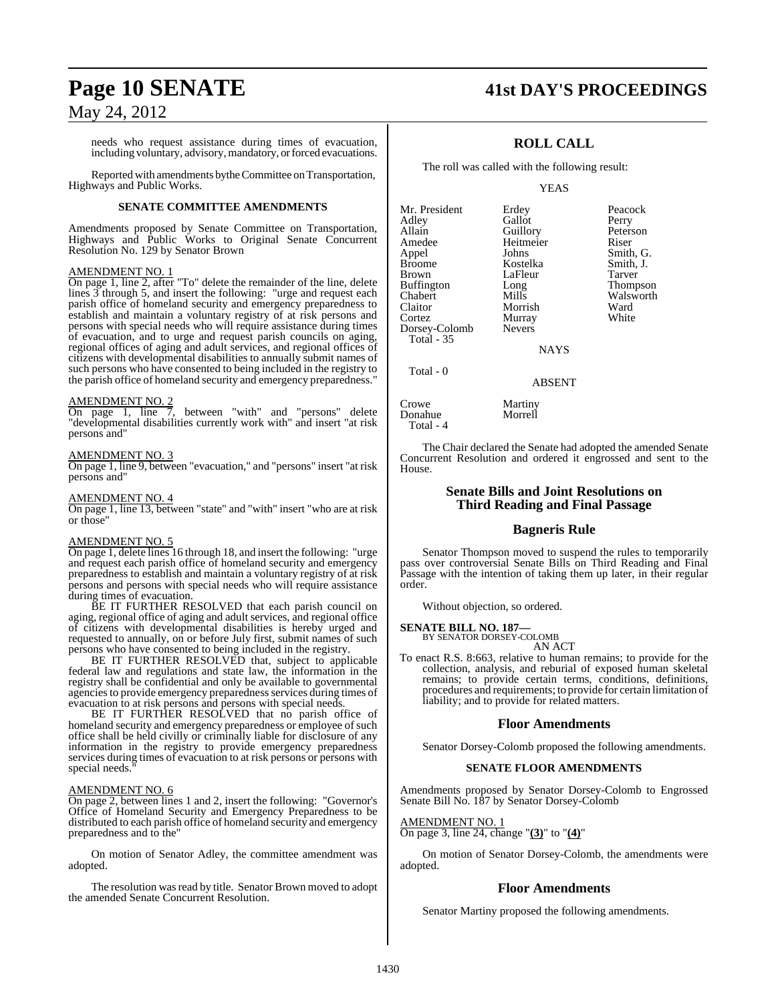needs who request assistance during times of evacuation, including voluntary, advisory, mandatory, or forced evacuations.

Reported with amendments by the Committee on Transportation, Highways and Public Works.

#### **SENATE COMMITTEE AMENDMENTS**

Amendments proposed by Senate Committee on Transportation, Highways and Public Works to Original Senate Concurrent Resolution No. 129 by Senator Brown

#### AMENDMENT NO. 1

On page 1, line 2, after "To" delete the remainder of the line, delete lines 3 through 5, and insert the following: "urge and request each parish office of homeland security and emergency preparedness to establish and maintain a voluntary registry of at risk persons and persons with special needs who will require assistance during times of evacuation, and to urge and request parish councils on aging, regional offices of aging and adult services, and regional offices of citizens with developmental disabilities to annually submit names of such persons who have consented to being included in the registry to the parish office of homeland security and emergency preparedness."

AMENDMENT NO. 2<br>On page 1, line 7  $\overline{7}$ , between "with" and "persons" delete "developmental disabilities currently work with" and insert "at risk persons and"

#### AMENDMENT NO. 3

On page 1, line 9, between "evacuation," and "persons" insert "at risk persons and"

#### AMENDMENT NO. 4

On page 1, line 13, between "state" and "with" insert "who are at risk or those"

#### AMENDMENT NO. 5

On page 1, delete lines 16 through 18, and insert the following: "urge and request each parish office of homeland security and emergency preparedness to establish and maintain a voluntary registry of at risk persons and persons with special needs who will require assistance during times of evacuation.

BE IT FURTHER RESOLVED that each parish council on aging, regional office of aging and adult services, and regional office of citizens with developmental disabilities is hereby urged and requested to annually, on or before July first, submit names of such persons who have consented to being included in the registry.

BE IT FURTHER RESOLVED that, subject to applicable federal law and regulations and state law, the information in the registry shall be confidential and only be available to governmental agencies to provide emergency preparedness services during times of evacuation to at risk persons and persons with special needs.

BE IT FURTHER RESOLVED that no parish office of homeland security and emergency preparedness or employee of such office shall be held civilly or criminally liable for disclosure of any information in the registry to provide emergency preparedness services during times of evacuation to at risk persons or persons with special needs."

#### AMENDMENT NO. 6

On page 2, between lines 1 and 2, insert the following: "Governor's Office of Homeland Security and Emergency Preparedness to be distributed to each parish office of homeland security and emergency preparedness and to the"

On motion of Senator Adley, the committee amendment was adopted.

The resolution was read by title. Senator Brown moved to adopt the amended Senate Concurrent Resolution.

### **Page 10 SENATE 41st DAY'S PROCEEDINGS**

### **ROLL CALL**

The roll was called with the following result:

Gallot

Murray<br>Nevers

Morrell

YEAS

Mr. President Erdey Peacock<br>Adley Gallot Perry Allain Guillory Peterson<br>Amedee Heitmeier Riser Amedee Heitm<br>Appel Johns Appel Johns Smith, G.<br>Broome Kostelka Smith, J. Broome Kostelka Smith, J. Buffington Long<br>Chabert Mills Chabert Mills Walsworth<br>Claitor Morrish Ward Claitor Morrish Ward<br>Cortez Murray White Dorsey-Colomb Total - 35

LaFleur Tarver<br>
Long Thompson

NAYS

#### ABSENT

Crowe Martiny<br>
Donahue Morrell Total - 4

Total - 0

The Chair declared the Senate had adopted the amended Senate Concurrent Resolution and ordered it engrossed and sent to the House.

#### **Senate Bills and Joint Resolutions on Third Reading and Final Passage**

#### **Bagneris Rule**

Senator Thompson moved to suspend the rules to temporarily pass over controversial Senate Bills on Third Reading and Final Passage with the intention of taking them up later, in their regular order.

Without objection, so ordered.

#### **SENATE BILL NO. 187—**

BY SENATOR DORSEY-COLOMB AN ACT

To enact R.S. 8:663, relative to human remains; to provide for the collection, analysis, and reburial of exposed human skeletal remains; to provide certain terms, conditions, definitions, procedures and requirements; to provide for certain limitation of liability; and to provide for related matters.

#### **Floor Amendments**

Senator Dorsey-Colomb proposed the following amendments.

#### **SENATE FLOOR AMENDMENTS**

Amendments proposed by Senator Dorsey-Colomb to Engrossed Senate Bill No. 187 by Senator Dorsey-Colomb

AMENDMENT NO. 1

On page 3, line 24, change "**(3)**" to "**(4)**"

On motion of Senator Dorsey-Colomb, the amendments were adopted.

#### **Floor Amendments**

Senator Martiny proposed the following amendments.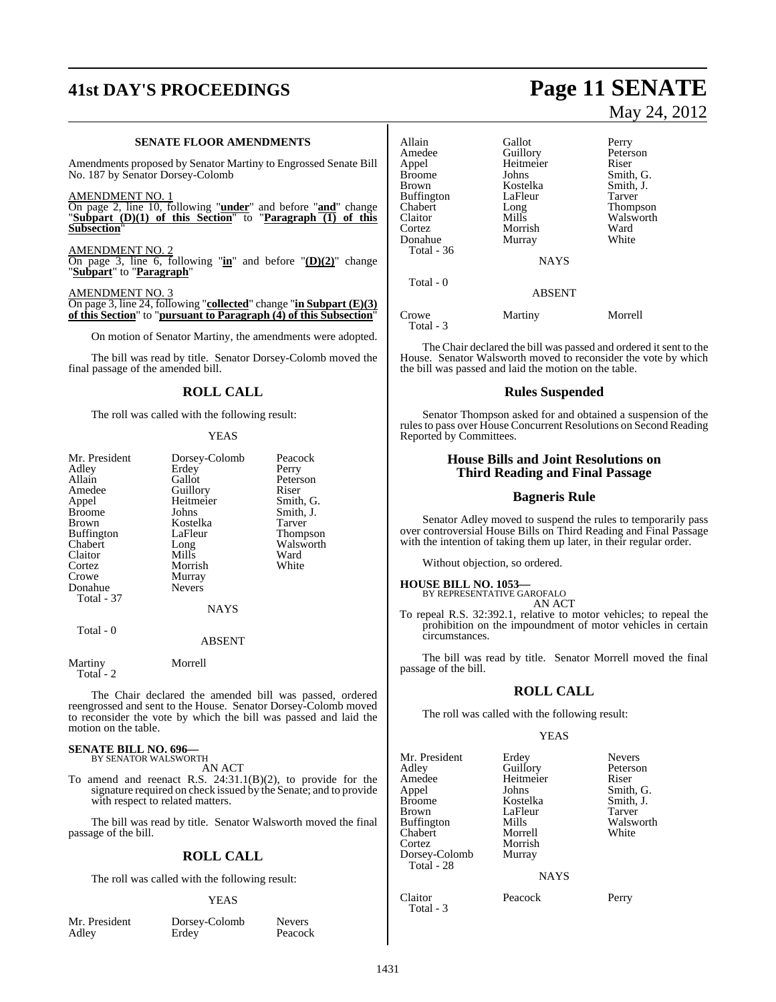# **41st DAY'S PROCEEDINGS Page 11 SENATE**

#### **SENATE FLOOR AMENDMENTS**

Amendments proposed by Senator Martiny to Engrossed Senate Bill No. 187 by Senator Dorsey-Colomb

AMENDMENT NO. 1

On page 2, line 10, following "**under**" and before "**and**" change "**Subpart (D)(1) of this Section**" to "**Paragraph (1) of this Subsection**"

AMENDMENT NO. 2

On page 3, line 6, following "**in**" and before "**(D)(2)**" change "**Subpart**" to "**Paragraph**"

AMENDMENT NO. On page 3, line 24, following "**collected**" change "**in Subpart (E)(3) of this Section**" to "**pursuant to Paragraph (4) of this Subsection**"

On motion of Senator Martiny, the amendments were adopted.

The bill was read by title. Senator Dorsey-Colomb moved the final passage of the amended bill.

### **ROLL CALL**

The roll was called with the following result:

#### **YEAS**

| Mr. President<br>Adley<br>Allain<br>Amedee<br>Appel<br><b>Broome</b><br><b>Brown</b><br><b>Buffington</b><br>Chabert<br>Claitor<br>Cortez<br>Crowe<br>Donahue<br><b>Total - 37</b> | Dorsey-Colomb<br>Erdey<br>Gallot<br>Guillory<br>Heitmeier<br>Johns<br>Kostelka<br>LaFleur<br>Long<br>Mills<br>Morrish<br>Murray<br><b>Nevers</b> | Peacock<br>Perry<br>Peterson<br>Riser<br>Smith, G.<br>Smith, J.<br>Tarver<br>Thompson<br>Walsworth<br>Ward<br>White |
|------------------------------------------------------------------------------------------------------------------------------------------------------------------------------------|--------------------------------------------------------------------------------------------------------------------------------------------------|---------------------------------------------------------------------------------------------------------------------|
|                                                                                                                                                                                    | <b>NAYS</b>                                                                                                                                      |                                                                                                                     |
| Total - 0                                                                                                                                                                          | ABSENT                                                                                                                                           |                                                                                                                     |

Martiny Morrell Total -  $2$ 

The Chair declared the amended bill was passed, ordered reengrossed and sent to the House. Senator Dorsey-Colomb moved to reconsider the vote by which the bill was passed and laid the motion on the table.

## **SENATE BILL NO. 696—** BY SENATOR WALSWORTH

AN ACT

To amend and reenact R.S. 24:31.1(B)(2), to provide for the signature required on check issued by the Senate; and to provide with respect to related matters.

The bill was read by title. Senator Walsworth moved the final passage of the bill.

#### **ROLL CALL**

The roll was called with the following result:

#### YEAS

Mr. President Dorsey-Colomb Nevers<br>Adley Erdey Peacock Erdey<sup>-</sup>

# May 24, 2012

Allain Callot Perry<br>
Amedee Guillory Peters Amedee Guillory Peterson<br>
Appel Heitmeier Riser Appel Heitmeier<br>Broome Johns Broome Johns Smith, G.<br>Brown Kostelka Smith, J. Kostelka Smith, J.<br>LaFleur Tarver Buffington LaFleur Tarver<br>
Chabert Long Thomp Chabert Long Thompson Walsworth<br>Ward Cortez **Morrish** Ward<br>
Donahue Murray White Donahue Total - 36 **NAYS**  Total - 0 ABSENT Crowe Martiny Morrell

Total - 3

The Chair declared the bill was passed and ordered it sent to the House. Senator Walsworth moved to reconsider the vote by which the bill was passed and laid the motion on the table.

#### **Rules Suspended**

Senator Thompson asked for and obtained a suspension of the rules to pass over House Concurrent Resolutions on Second Reading Reported by Committees.

#### **House Bills and Joint Resolutions on Third Reading and Final Passage**

#### **Bagneris Rule**

Senator Adley moved to suspend the rules to temporarily pass over controversial House Bills on Third Reading and Final Passage with the intention of taking them up later, in their regular order.

Without objection, so ordered.

#### **HOUSE BILL NO. 1053—**

BY REPRESENTATIVE GAROFALO AN ACT

To repeal R.S. 32:392.1, relative to motor vehicles; to repeal the prohibition on the impoundment of motor vehicles in certain circumstances.

The bill was read by title. Senator Morrell moved the final passage of the bill.

### **ROLL CALL**

The roll was called with the following result:

#### YEAS

| Mr. President<br>Adley<br>Amedee<br>Appel<br>Broome<br>Brown   | Erdey<br>Guillory<br>Heitmeier<br>Johns<br>Kostelka<br>LaFleur | <b>Nevers</b><br>Peterson<br>Riser<br>Smith, G.<br>Smith, J.<br>Tarver |
|----------------------------------------------------------------|----------------------------------------------------------------|------------------------------------------------------------------------|
| Buffington<br>Chabert<br>Cortez<br>Dorsey-Colomb<br>Total - 28 | Mills<br>Morrell<br>Morrish<br>Murray                          | Walsworth<br>White                                                     |
|                                                                | <b>NAYS</b>                                                    |                                                                        |
| Claitor<br>Total - 3                                           | Peacock                                                        | Perry                                                                  |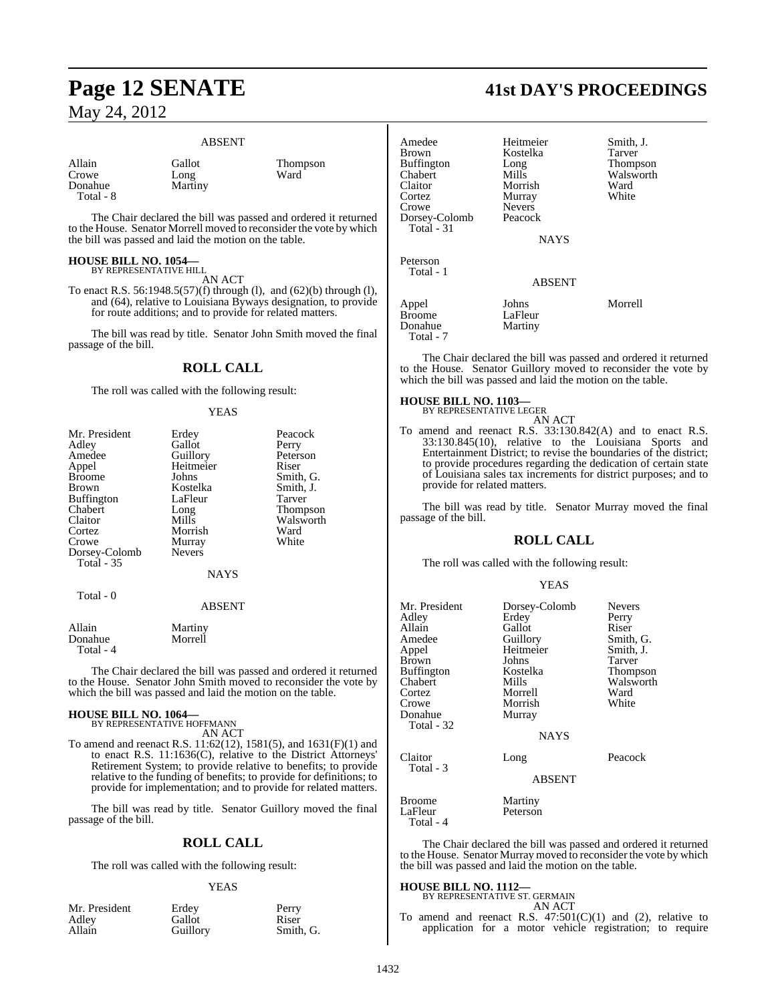#### ABSENT

Allain Gallot Thompson<br>
Crowe Long Ward Crowe Long<br>Donahue Marti Total - 8

Martiny

The Chair declared the bill was passed and ordered it returned to the House. Senator Morrell moved to reconsider the vote by which the bill was passed and laid the motion on the table.

### **HOUSE BILL NO. 1054—** BY REPRESENTATIVE HILL

AN ACT

To enact R.S. 56:1948.5(57)(f) through (l), and (62)(b) through (l), and (64), relative to Louisiana Byways designation, to provide for route additions; and to provide for related matters.

The bill was read by title. Senator John Smith moved the final passage of the bill.

#### **ROLL CALL**

The roll was called with the following result:

#### YEAS

| Mr. President     | Erdey         | Peacock   |
|-------------------|---------------|-----------|
| Adley             | Gallot        | Perry     |
| Amedee            | Guillory      | Peterson  |
| Appel             | Heitmeier     | Riser     |
| <b>Broome</b>     | Johns         | Smith, G. |
| Brown             | Kostelka      | Smith, J. |
| <b>Buffington</b> | LaFleur       | Tarver    |
| Chabert           | Long          | Thompson  |
| Claitor           | Mills         | Walsworth |
| Cortez            | Morrish       | Ward      |
| Crowe             | Murray        | White     |
| Dorsey-Colomb     | <b>Nevers</b> |           |
| <b>Total - 35</b> |               |           |
|                   | <b>NAYS</b>   |           |
| Total - 0         | <b>ABSENT</b> |           |

| Allain    | Martiny |
|-----------|---------|
| Donahue   | Morrell |
| Total - 4 |         |

The Chair declared the bill was passed and ordered it returned to the House. Senator John Smith moved to reconsider the vote by which the bill was passed and laid the motion on the table.

### **HOUSE BILL NO. 1064—** BY REPRESENTATIVE HOFFMANN

AN ACT

To amend and reenact R.S. 11:62(12), 1581(5), and 1631(F)(1) and to enact R.S. 11:1636(C), relative to the District Attorneys' Retirement System; to provide relative to benefits; to provide relative to the funding of benefits; to provide for definitions; to provide for implementation; and to provide for related matters.

The bill was read by title. Senator Guillory moved the final passage of the bill.

#### **ROLL CALL**

The roll was called with the following result:

#### YEAS

| Mr. President | Erdey    | Perry     |
|---------------|----------|-----------|
| Adley         | Gallot   | Riser     |
| Allain        | Guillory | Smith, G. |

### **Page 12 SENATE 41st DAY'S PROCEEDINGS**

| Amedee<br>Brown<br>Buffington<br>Chabert<br>Claitor<br>Cortez | Heitmeier<br>Kostelka<br>Long<br>Mills<br>Morrish<br>Murray | Smith, J.<br>Tarver<br>Thompson<br>Walsworth<br>Ward<br>White |
|---------------------------------------------------------------|-------------------------------------------------------------|---------------------------------------------------------------|
| Crowe                                                         | <b>Nevers</b>                                               |                                                               |
| Dorsey-Colomb<br>Total - 31                                   | Peacock                                                     |                                                               |
|                                                               | <b>NAYS</b>                                                 |                                                               |
| Peterson<br>Total - 1                                         |                                                             |                                                               |
|                                                               | <b>ABSENT</b>                                               |                                                               |
| Appel<br>Broome<br>Donahue<br>Total - 7                       | Johns<br>LaFleur<br>Martiny                                 | Morrell                                                       |

The Chair declared the bill was passed and ordered it returned to the House. Senator Guillory moved to reconsider the vote by which the bill was passed and laid the motion on the table.

#### **HOUSE BILL NO. 1103—**

BY REPRESENTATIVE LEGER

AN ACT To amend and reenact R.S. 33:130.842(A) and to enact R.S. 33:130.845(10), relative to the Louisiana Sports and Entertainment District; to revise the boundaries of the district; to provide procedures regarding the dedication of certain state of Louisiana sales tax increments for district purposes; and to provide for related matters.

The bill was read by title. Senator Murray moved the final passage of the bill.

#### **ROLL CALL**

The roll was called with the following result:

#### YEAS

| Mr. President<br>Adley<br>Allain<br>Amedee<br>Appel<br>Brown<br>Buffington<br>Chabert<br>Cortez<br>Crowe<br>Donahue<br>Total - 32 | Dorsey-Colomb<br>Erdey<br>Gallot<br>Guillory<br>Heitmeier<br>Johns<br>Kostelka<br>Mills<br>Morrell<br>Morrish<br>Murray<br><b>NAYS</b> | <b>Nevers</b><br>Perry<br>Riser<br>Smith, G.<br>Smith, J.<br>Tarver<br>Thompson<br>Walsworth<br>Ward<br>White |
|-----------------------------------------------------------------------------------------------------------------------------------|----------------------------------------------------------------------------------------------------------------------------------------|---------------------------------------------------------------------------------------------------------------|
| Claitor<br>Total - 3                                                                                                              | Long<br><b>ABSENT</b>                                                                                                                  | Peacock                                                                                                       |
| Broome<br>LaFleur<br>Total - 4                                                                                                    | Martiny<br>Peterson                                                                                                                    |                                                                                                               |

The Chair declared the bill was passed and ordered it returned to the House. Senator Murray moved to reconsider the vote by which the bill was passed and laid the motion on the table.

#### **HOUSE BILL NO. 1112—**

|  | BY REPRESENTATIVE ST. GERMAIN |                                                  |
|--|-------------------------------|--------------------------------------------------|
|  |                               | AN ACT                                           |
|  |                               | $T_{\text{c}}$ surveyed and account D C 47.501/6 |

To amend and reenact R.S.  $47:501(C)(1)$  and (2), relative to application for a motor vehicle registration; to require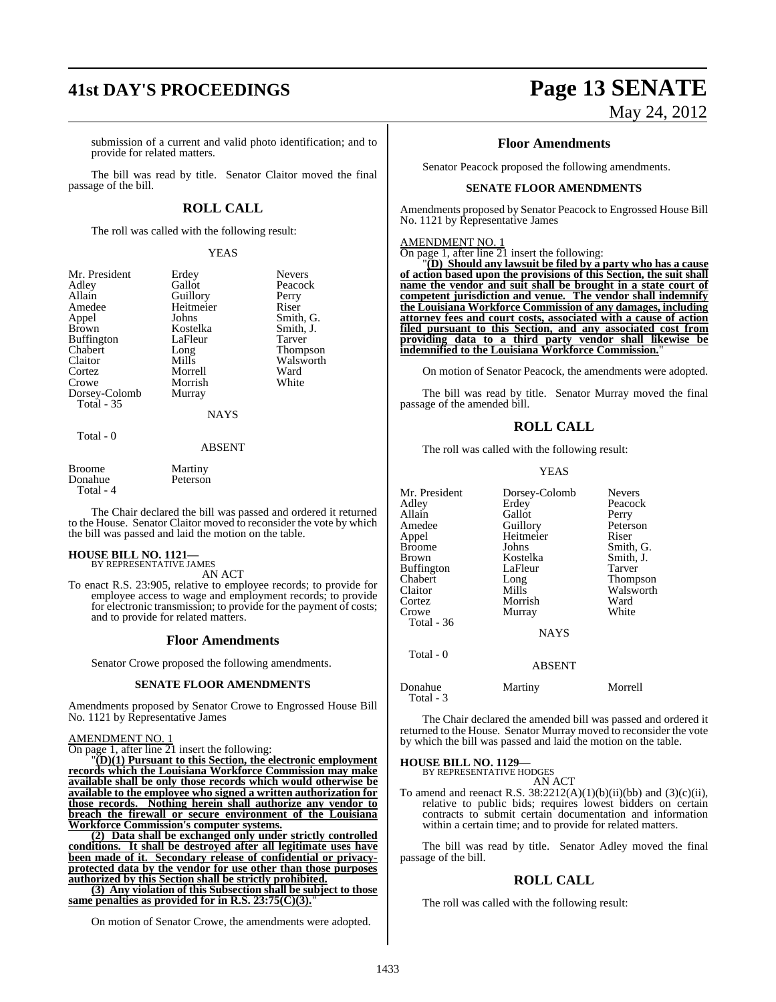# **41st DAY'S PROCEEDINGS Page 13 SENATE**

submission of a current and valid photo identification; and to provide for related matters.

The bill was read by title. Senator Claitor moved the final passage of the bill.

#### **ROLL CALL**

The roll was called with the following result:

#### YEAS

Erdey Nevers<br>
Gallot Peacoc

Peacock

Smith, J.<br>Tarver

Walsworth<br>Ward

| Mr. President     |
|-------------------|
| Adley             |
| Allain            |
| Amedee            |
| Appel             |
| <b>Brown</b>      |
| Buffington        |
| Chabert           |
| Claitor           |
| Cortez            |
| Crowe             |
| Dorsey-Colomb     |
| <b>Total</b> - 35 |
|                   |

Guillory Perry<br>Heitmeier Riser Heitmeier<br>Johns Formulation Johns Smith, G.<br>
Kostelka Smith, J. LaFleur<br>Long Long Thompson<br>Mills Walsworth Morrell Morrish White Murray

NAYS

#### Total - 0

#### ABSENT

| Broome    | Martiny  |
|-----------|----------|
| Donahue   | Peterson |
| Total - 4 |          |

The Chair declared the bill was passed and ordered it returned to the House. Senator Claitor moved to reconsider the vote by which the bill was passed and laid the motion on the table.

#### **HOUSE BILL NO. 1121—** BY REPRESENTATIVE JAMES

AN ACT

To enact R.S. 23:905, relative to employee records; to provide for employee access to wage and employment records; to provide for electronic transmission; to provide for the payment of costs; and to provide for related matters.

#### **Floor Amendments**

Senator Crowe proposed the following amendments.

#### **SENATE FLOOR AMENDMENTS**

Amendments proposed by Senator Crowe to Engrossed House Bill No. 1121 by Representative James

#### AMENDMENT NO. 1

On page 1, after line 21 insert the following:

"**(D)(1) Pursuant to this Section, the electronic employment records which the Louisiana Workforce Commission may make available shall be only those records which would otherwise be available to the employee who signed a written authorization for those records. Nothing herein shall authorize any vendor to breach the firewall or secure environment of the Louisiana Workforce Commission's computer systems.**

**(2) Data shall be exchanged only under strictly controlled conditions. It shall be destroyed after all legitimate uses have been made of it. Secondary release of confidential or privacyprotected data by the vendor for use other than those purposes authorized by this Section shall be strictly prohibited.**

**(3) Any violation of this Subsection shall be subject to those** same penalties as provided for in R.S. 23:75(C)(3).

On motion of Senator Crowe, the amendments were adopted.

# May 24, 2012

#### **Floor Amendments**

Senator Peacock proposed the following amendments.

#### **SENATE FLOOR AMENDMENTS**

Amendments proposed by Senator Peacock to Engrossed House Bill No. 1121 by Representative James

#### AMENDMENT NO. 1

On page 1, after line 21 insert the following:

"**(D) Should any lawsuit be filed by a party who has a cause of action based upon the provisions of this Section, the suit shall name the vendor and suit shall be brought in a state court of competent jurisdiction and venue. The vendor shall indemnify the Louisiana Workforce Commission of any damages, including attorney fees and court costs, associated with a cause of action filed pursuant to this Section, and any associated cost from providing data to a third party vendor shall likewise be indemnified to the Louisiana Workforce Commission.**"

On motion of Senator Peacock, the amendments were adopted.

The bill was read by title. Senator Murray moved the final passage of the amended bill.

#### **ROLL CALL**

The roll was called with the following result:

#### YEAS

| Mr. President<br>Adley<br>Allain<br>Amedee<br>Appel<br><b>Broome</b><br><b>Brown</b><br><b>Buffington</b><br>Chabert<br>Claitor<br>Cortez<br>Crowe<br>Total - 36 | Dorsey-Colomb<br>Erdey<br>Gallot<br>Guillory<br>Heitmeier<br>Johns<br>Kostelka<br>LaFleur<br>Long<br>Mills<br>Morrish<br>Murray | <b>Nevers</b><br>Peacock<br>Perry<br>Peterson<br>Riser<br>Smith, G.<br>Smith, J.<br>Tarver<br>Thompson<br>Walsworth<br>Ward<br>White |
|------------------------------------------------------------------------------------------------------------------------------------------------------------------|---------------------------------------------------------------------------------------------------------------------------------|--------------------------------------------------------------------------------------------------------------------------------------|
|                                                                                                                                                                  | <b>NAYS</b>                                                                                                                     |                                                                                                                                      |
| Total - 0                                                                                                                                                        | <b>ABSENT</b>                                                                                                                   |                                                                                                                                      |
| Donahue<br>Total - 3                                                                                                                                             | Martiny                                                                                                                         | Morrell                                                                                                                              |

The Chair declared the amended bill was passed and ordered it returned to the House. Senator Murray moved to reconsider the vote by which the bill was passed and laid the motion on the table.

### **HOUSE BILL NO. 1129—** BY REPRESENTATIVE HODGES

AN ACT

To amend and reenact R.S.  $38:2212(A)(1)(b)(ii)(bb)$  and  $(3)(c)(ii)$ , relative to public bids; requires lowest bidders on certain contracts to submit certain documentation and information within a certain time; and to provide for related matters.

The bill was read by title. Senator Adley moved the final passage of the bill.

#### **ROLL CALL**

The roll was called with the following result: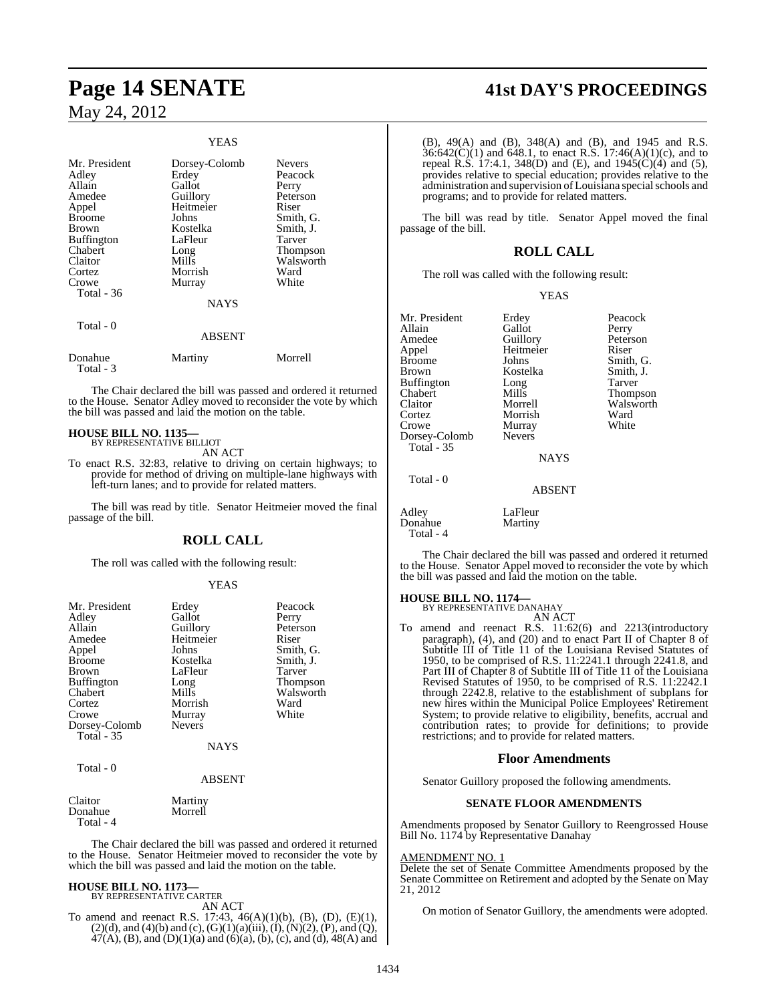#### YEAS

| Mr. President<br>Adley<br>Allain<br>Amedee<br>Appel<br><b>Broome</b><br>Brown<br><b>Buffington</b><br>Chabert<br>Claitor<br>Cortez<br>Crowe<br>Total $-36$<br>Total - 0 | Dorsey-Colomb<br>Erdey<br>Gallot<br>Guillory<br>Heitmeier<br>Johns<br>Kostelka<br>LaFleur<br>Long<br>Mills<br>Morrish<br>Murray<br><b>NAYS</b><br><b>ABSENT</b> | <b>Nevers</b><br>Peacock<br>Perry<br>Peterson<br>Riser<br>Smith, G.<br>Smith, J.<br>Tarver<br>Thompson<br>Walsworth<br>Ward<br>White |
|-------------------------------------------------------------------------------------------------------------------------------------------------------------------------|-----------------------------------------------------------------------------------------------------------------------------------------------------------------|--------------------------------------------------------------------------------------------------------------------------------------|
| Donahue<br>Total - 3                                                                                                                                                    | Martiny                                                                                                                                                         | Morrell                                                                                                                              |

The Chair declared the bill was passed and ordered it returned to the House. Senator Adley moved to reconsider the vote by which the bill was passed and laid the motion on the table.

#### **HOUSE BILL NO. 1135—** BY REPRESENTATIVE BILLIOT

AN ACT

To enact R.S. 32:83, relative to driving on certain highways; to provide for method of driving on multiple-lane highways with left-turn lanes; and to provide for related matters.

The bill was read by title. Senator Heitmeier moved the final passage of the bill.

#### **ROLL CALL**

The roll was called with the following result:

#### YEAS

| Mr. President     | Erdey         | Peacock         |
|-------------------|---------------|-----------------|
| Adley             | Gallot        | Perry           |
| Allain            | Guillory      | Peterson        |
| Amedee            | Heitmeier     | Riser           |
| Appel             | Johns         | Smith, G.       |
| <b>Broome</b>     | Kostelka      | Smith, J.       |
| <b>Brown</b>      | LaFleur       | Tarver          |
| <b>Buffington</b> | Long          | <b>Thompson</b> |
| Chabert           | Mills         | Walsworth       |
| Cortez            | Morrish       | Ward            |
| Crowe             | Murray        | White           |
| Dorsey-Colomb     | <b>Nevers</b> |                 |
| Total - 35        |               |                 |
|                   | <b>NAYS</b>   |                 |
| Total - 0         |               |                 |
|                   | <b>ABSENT</b> |                 |
|                   |               |                 |

| Claitor   | Martiny |
|-----------|---------|
| Donahue   | Morrell |
| Total - 4 |         |

The Chair declared the bill was passed and ordered it returned to the House. Senator Heitmeier moved to reconsider the vote by which the bill was passed and laid the motion on the table.

 $47(A)$ , (B), and (D)(1)(a) and (6)(a), (b), (c), and (d), 48(A) and

### **HOUSE BILL NO. 1173—** BY REPRESENTATIVE CARTER

AN ACT To amend and reenact R.S. 17:43, 46(A)(1)(b), (B), (D), (E)(1),  $(2)(d)$ , and  $(4)(b)$  and  $(c)$ ,  $(G)(1)(a)(iii)$ ,  $(I)$ ,  $(N)(2)$ ,  $(P)$ , and  $(Q)$ ,

**Page 14 SENATE 41st DAY'S PROCEEDINGS**

(B), 49(A) and (B), 348(A) and (B), and 1945 and R.S.  $36:642(C)(1)$  and  $648.1$ , to enact R.S. 17:46(A)(1)(c), and to repeal R.S. 17:4.1, 348(D) and (E), and 1945(C)(4) and (5), provides relative to special education; provides relative to the administration and supervision of Louisiana special schools and programs; and to provide for related matters.

The bill was read by title. Senator Appel moved the final passage of the bill.

#### **ROLL CALL**

The roll was called with the following result:

Kostelka

Murray<br>Nevers

#### YEAS

Mr. President Erdey Peacock<br>
Allain Gallot Perry Allain Gallot Perry<br>
Amedee Guillory Peterson Amedee Guillory Peters<br>
Appel Heitmeier Riser Appel Heitmeier<br>Broome Johns Broome Johns Smith, G.<br>Brown Kostelka Smith I Buffington Long Tarver<br>
Chabert Mills Thomp Chabert Mills Thompson<br>Claitor Morrell Walsworth Claitor Morrell Walsworth Cortez Morrish Ward Dorsey-Colomb Total - 35

Total - 0

#### **NAYS**

#### ABSENT

Adley LaFleur<br>Donahue Martiny Donahue Total - 4

The Chair declared the bill was passed and ordered it returned to the House. Senator Appel moved to reconsider the vote by which the bill was passed and laid the motion on the table.

#### **HOUSE BILL NO. 1174—**

BY REPRESENTATIVE DANAHAY AN ACT

To amend and reenact R.S. 11:62(6) and 2213(introductory paragraph), (4), and (20) and to enact Part II of Chapter 8 of Subtitle III of Title 11 of the Louisiana Revised Statutes of 1950, to be comprised of R.S. 11:2241.1 through 2241.8, and Part III of Chapter 8 of Subtitle III of Title 11 of the Louisiana Revised Statutes of 1950, to be comprised of R.S. 11:2242.1 through 2242.8, relative to the establishment of subplans for new hires within the Municipal Police Employees' Retirement System; to provide relative to eligibility, benefits, accrual and contribution rates; to provide for definitions; to provide restrictions; and to provide for related matters.

#### **Floor Amendments**

Senator Guillory proposed the following amendments.

#### **SENATE FLOOR AMENDMENTS**

Amendments proposed by Senator Guillory to Reengrossed House Bill No. 1174 by Representative Danahay

#### AMENDMENT NO. 1

Delete the set of Senate Committee Amendments proposed by the Senate Committee on Retirement and adopted by the Senate on May 21, 2012

On motion of Senator Guillory, the amendments were adopted.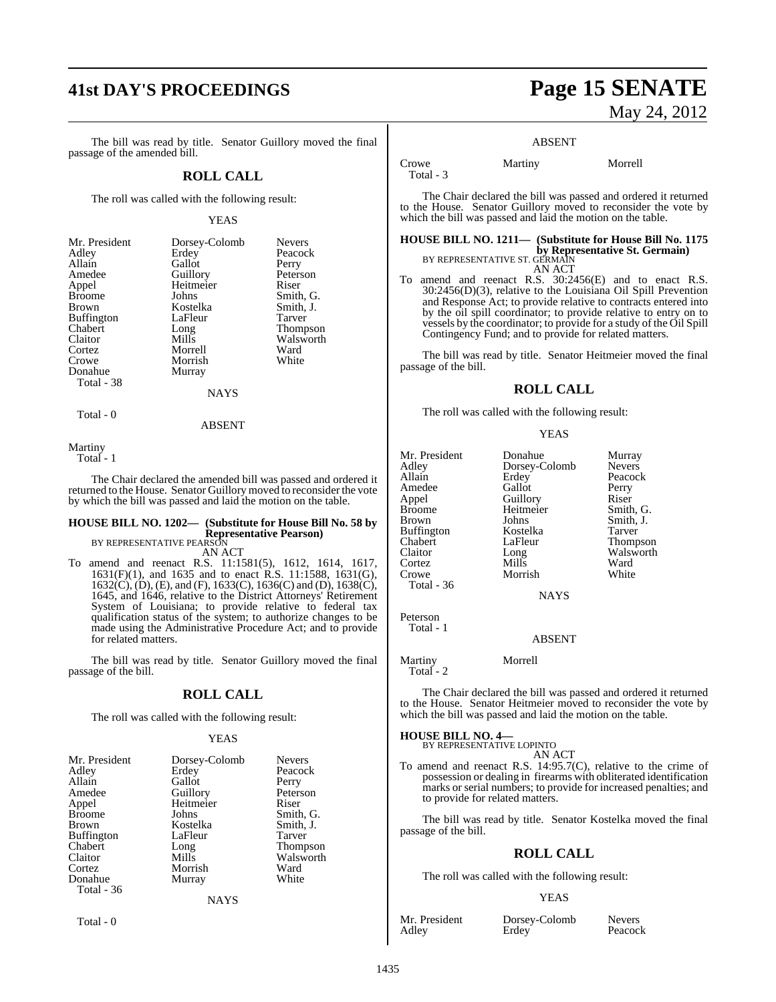# **41st DAY'S PROCEEDINGS Page 15 SENATE**

The bill was read by title. Senator Guillory moved the final passage of the amended bill.

#### **ROLL CALL**

The roll was called with the following result:

#### YEAS

| Mr. President     | Dorsey-Colomb | <b>Nevers</b>   |
|-------------------|---------------|-----------------|
| Adley             | Erdey         | Peacock         |
| Allain            | Gallot        | Perry           |
| Amedee            | Guillory      | Peterson        |
| Appel             | Heitmeier     | Riser           |
| <b>Broome</b>     | Johns         | Smith, G.       |
| <b>Brown</b>      | Kostelka      | Smith, J.       |
| <b>Buffington</b> | LaFleur       | <b>Tarver</b>   |
| Chabert           | Long          | <b>Thompson</b> |
| Claitor           | Mills         | Walsworth       |
| Cortez            | Morrell       | Ward            |
| Crowe             | Morrish       | White           |
| Donahue           | Murray        |                 |
| Total - 38        |               |                 |
|                   | NAYS          |                 |

Total - 0

ABSENT

Martiny

Total - 1

The Chair declared the amended bill was passed and ordered it returned to the House. Senator Guillory moved to reconsider the vote by which the bill was passed and laid the motion on the table.

#### **HOUSE BILL NO. 1202— (Substitute for House Bill No. 58 by Representative Pearson)** BY REPRESENTATIVE PEARSON

AN ACT

To amend and reenact R.S. 11:1581(5), 1612, 1614, 1617, 1631(F)(1), and 1635 and to enact R.S. 11:1588, 1631(G), 1632(C), (D), (E), and (F), 1633(C), 1636(C) and (D), 1638(C), 1645, and 1646, relative to the District Attorneys' Retirement System of Louisiana; to provide relative to federal tax qualification status of the system; to authorize changes to be made using the Administrative Procedure Act; and to provide for related matters.

The bill was read by title. Senator Guillory moved the final passage of the bill.

#### **ROLL CALL**

The roll was called with the following result:

#### YEAS

| Mr. President     | Dorsey-Colomb | <b>Nevers</b>   |
|-------------------|---------------|-----------------|
| Adley             | Erdey         | Peacock         |
| Allain            | Gallot        | Perry           |
| Amedee            | Guillory      | Peterson        |
| Appel             | Heitmeier     | Riser           |
| <b>Broome</b>     | Johns         | Smith, G.       |
| Brown             | Kostelka      | Smith, J.       |
| <b>Buffington</b> | LaFleur       | Tarver          |
| Chabert           | Long          | <b>Thompson</b> |
| Claitor           | Mills         | Walsworth       |
| Cortez            | Morrish       | Ward            |
| Donahue           | Murray        | White           |
| Total - 36        |               |                 |
|                   | <b>NAYS</b>   |                 |

Total - 0

# May 24, 2012

#### ABSENT

Total - 3

Crowe Martiny Morrell

The Chair declared the bill was passed and ordered it returned to the House. Senator Guillory moved to reconsider the vote by which the bill was passed and laid the motion on the table.

#### **HOUSE BILL NO. 1211— (Substitute for House Bill No. 1175 by Representative St. Germain)** BY REPRESENTATIVE ST. GERMAIN AN ACT

To amend and reenact R.S. 30:2456(E) and to enact R.S. 30:2456(D)(3), relative to the Louisiana Oil Spill Prevention and Response Act; to provide relative to contracts entered into by the oil spill coordinator; to provide relative to entry on to vessels by the coordinator; to provide for a study of the Oil Spill Contingency Fund; and to provide for related matters.

The bill was read by title. Senator Heitmeier moved the final passage of the bill.

#### **ROLL CALL**

The roll was called with the following result:

#### YEAS

| Mr. President     | Donahue       | Murray        |
|-------------------|---------------|---------------|
| Adley             | Dorsey-Colomb | <b>Nevers</b> |
| Allain            | Erdey         | Peacock       |
| Amedee            | Gallot        | Perry         |
| Appel             | Guillory      | Riser         |
| <b>Broome</b>     | Heitmeier     | Smith, G.     |
| <b>Brown</b>      | Johns         | Smith, J.     |
| <b>Buffington</b> | Kostelka      | Tarver        |
| Chabert           | LaFleur       | Thompson      |
| Claitor           | Long          | Walsworth     |
| Cortez            | Mills         | Ward          |
| Crowe             | Morrish       | White         |
| <b>Total - 36</b> |               |               |
|                   | <b>NAYS</b>   |               |
| $\mathbf{r}$      |               |               |

Peterson Total - 1

ABSENT

Martiny Morrell

Total - 2

The Chair declared the bill was passed and ordered it returned to the House. Senator Heitmeier moved to reconsider the vote by which the bill was passed and laid the motion on the table.

### **HOUSE BILL NO. 4—** BY REPRESENTATIVE LOPINTO

AN ACT

To amend and reenact R.S. 14:95.7(C), relative to the crime of possession or dealing in firearms with obliterated identification marks or serial numbers; to provide for increased penalties; and to provide for related matters.

The bill was read by title. Senator Kostelka moved the final passage of the bill.

#### **ROLL CALL**

The roll was called with the following result:

#### YEAS

Mr. President Dorsey-Colomb Nevers<br>Adley Erdey Peacock **Erdey**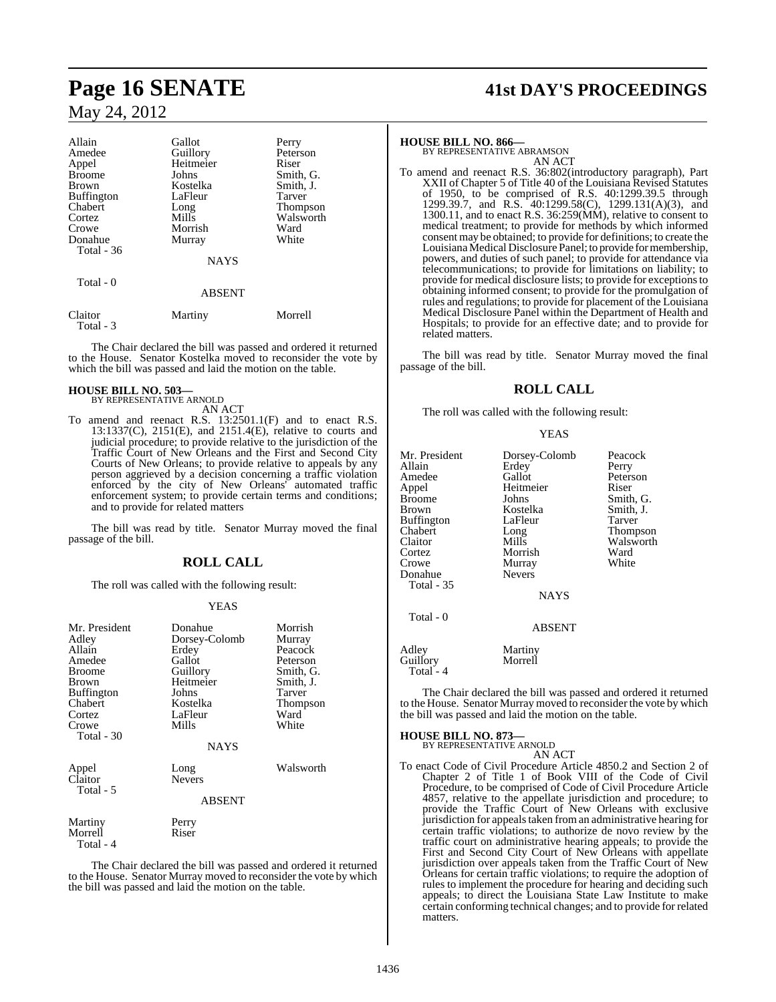| Allain        | Gallot        | Perry           |
|---------------|---------------|-----------------|
| Amedee        | Guillory      | Peterson        |
| Appel         | Heitmeier     | Riser           |
| <b>Broome</b> | Johns         | Smith, G.       |
| <b>Brown</b>  | Kostelka      | Smith, J.       |
| Buffington    | LaFleur       | Tarver          |
| Chabert       | Long          | <b>Thompson</b> |
| Cortez        | Mills         | Walsworth       |
| Crowe         | Morrish       | Ward            |
| Donahue       | Murray        | White           |
| Total - 36    |               |                 |
|               | <b>NAYS</b>   |                 |
| Total - 0     |               |                 |
|               | <b>ABSENT</b> |                 |
| Claitor       | Martiny       | Morrell         |

 Total - 3 The Chair declared the bill was passed and ordered it returned

to the House. Senator Kostelka moved to reconsider the vote by which the bill was passed and laid the motion on the table.

#### **HOUSE BILL NO. 503—** BY REPRESENTATIVE ARNOLD

AN ACT

To amend and reenact R.S. 13:2501.1(F) and to enact R.S. 13:1337(C), 2151(E), and 2151.4(E), relative to courts and judicial procedure; to provide relative to the jurisdiction of the Traffic Court of New Orleans and the First and Second City Courts of New Orleans; to provide relative to appeals by any person aggrieved by a decision concerning a traffic violation enforced by the city of New Orleans' automated traffic enforcement system; to provide certain terms and conditions; and to provide for related matters

The bill was read by title. Senator Murray moved the final passage of the bill.

### **ROLL CALL**

The roll was called with the following result:

#### YEAS

| Mr. President<br>Adley<br>Allain<br>Amedee<br><b>Broome</b><br>Brown<br><b>Buffington</b><br>Chabert<br>Cortez<br>Crowe<br>Total - 30 | Donahue<br>Dorsey-Colomb<br>Erdey<br>Gallot<br>Guillory<br>Heitmeier<br>Johns<br>Kostelka<br>LaFleur<br>Mills | Morrish<br>Murray<br>Peacock<br>Peterson<br>Smith, G.<br>Smith, J.<br>Tarver<br><b>Thompson</b><br>Ward<br>White |
|---------------------------------------------------------------------------------------------------------------------------------------|---------------------------------------------------------------------------------------------------------------|------------------------------------------------------------------------------------------------------------------|
|                                                                                                                                       | <b>NAYS</b>                                                                                                   |                                                                                                                  |
| Appel<br>Claitor<br>Total - 5                                                                                                         | Long<br><b>Nevers</b><br><b>ABSENT</b>                                                                        | Walsworth                                                                                                        |
| Martiny<br>Morrell<br>Total - 4                                                                                                       | Perry<br>Riser                                                                                                |                                                                                                                  |

The Chair declared the bill was passed and ordered it returned to the House. Senator Murray moved to reconsider the vote by which the bill was passed and laid the motion on the table.

# **Page 16 SENATE 41st DAY'S PROCEEDINGS**

**HOUSE BILL NO. 866—** BY REPRESENTATIVE ABRAMSON AN ACT

To amend and reenact R.S. 36:802(introductory paragraph), Part XXII of Chapter 5 of Title 40 of the Louisiana Revised Statutes of 1950, to be comprised of R.S. 40:1299.39.5 through 1299.39.7, and R.S. 40:1299.58(C), 1299.131(A)(3), and 1300.11, and to enact R.S. 36:259(MM), relative to consent to medical treatment; to provide for methods by which informed consent may be obtained; to provide for definitions; to create the LouisianaMedical Disclosure Panel; to provide for membership, powers, and duties of such panel; to provide for attendance via telecommunications; to provide for limitations on liability; to provide for medical disclosure lists; to provide for exceptionsto obtaining informed consent; to provide for the promulgation of rules and regulations; to provide for placement of the Louisiana Medical Disclosure Panel within the Department of Health and Hospitals; to provide for an effective date; and to provide for related matters.

The bill was read by title. Senator Murray moved the final passage of the bill.

#### **ROLL CALL**

The roll was called with the following result:

#### YEAS

Mr. President Dorsey-Colomb Peacock Allain **Erdey** Perry<br>
Amedee Gallot Peters Amedee Gallot Peterson<br>Appel Heitmeier Riser Appel Heitmeier<br>Broome Johns Broome Johns Smith, G.<br>Brown Kostelka Smith, J. Kostelka Smith,<br>LaFleur Tarver Buffington LaFle<br>Chabert Long Chabert Long Thompson Cortez Morrish Ward<br>Crowe Murray White Murray<br>Nevers Donahue Total - 35 Total - 0

ABSENT

**NAYS** 

Walsworth<br>Ward

Adley Martiny<br>Guillory Morrell Guillory Total<sup>-4</sup>

The Chair declared the bill was passed and ordered it returned to the House. Senator Murray moved to reconsider the vote by which the bill was passed and laid the motion on the table.

**HOUSE BILL NO. 873—** BY REPRESENTATIVE ARNOLD

AN ACT To enact Code of Civil Procedure Article 4850.2 and Section 2 of Chapter 2 of Title 1 of Book VIII of the Code of Civil Procedure, to be comprised of Code of Civil Procedure Article 4857, relative to the appellate jurisdiction and procedure; to provide the Traffic Court of New Orleans with exclusive jurisdiction for appeals taken from an administrative hearing for certain traffic violations; to authorize de novo review by the traffic court on administrative hearing appeals; to provide the First and Second City Court of New Orleans with appellate jurisdiction over appeals taken from the Traffic Court of New Orleans for certain traffic violations; to require the adoption of rules to implement the procedure for hearing and deciding such appeals; to direct the Louisiana State Law Institute to make certain conforming technical changes; and to provide for related matters.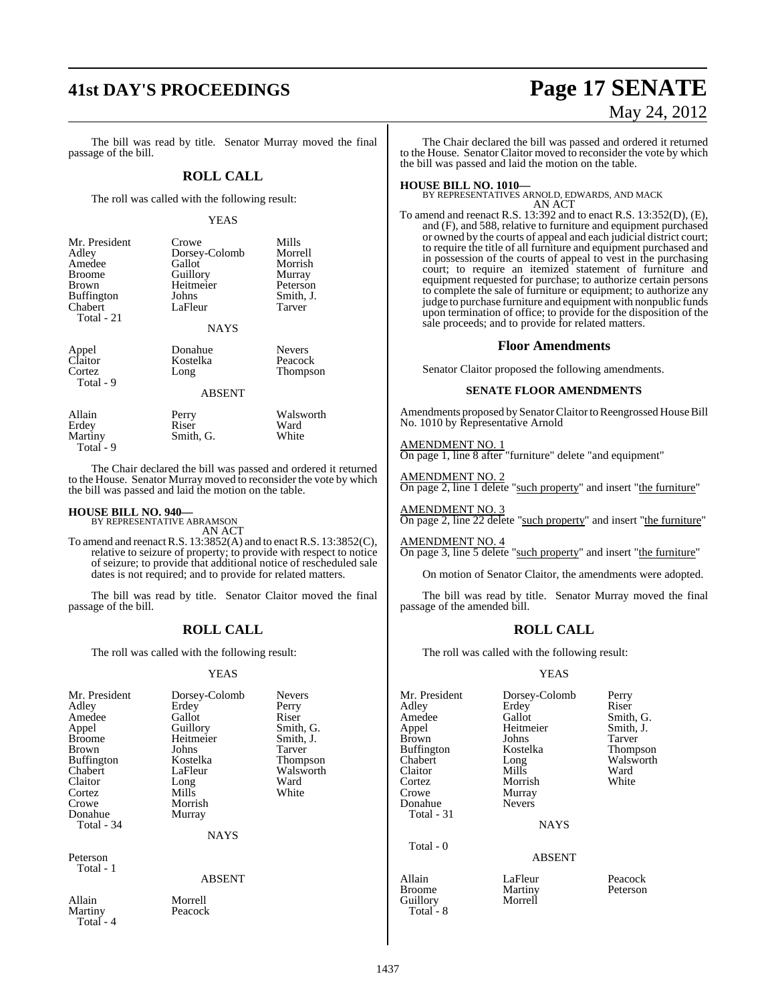# **41st DAY'S PROCEEDINGS Page 17 SENATE**

The bill was read by title. Senator Murray moved the final passage of the bill.

#### **ROLL CALL**

The roll was called with the following result:

#### YEAS

| Mr. President<br>Adley<br>Amedee<br><b>Broome</b><br><b>Brown</b><br><b>Buffington</b><br>Chabert<br>Total - 21 | Crowe<br>Dorsey-Colomb<br>Gallot<br>Guillory<br>Heitmeier<br>Johns<br>LaFleur | Mills<br>Morrell<br>Morrish<br>Murray<br>Peterson<br>Smith, J.<br>Tarver |
|-----------------------------------------------------------------------------------------------------------------|-------------------------------------------------------------------------------|--------------------------------------------------------------------------|
|                                                                                                                 | <b>NAYS</b>                                                                   |                                                                          |
| Appel<br>Claitor<br>Cortez<br>Total - 9                                                                         | Donahue<br>Kostelka<br>Long                                                   | <b>Nevers</b><br>Peacock<br>Thompson                                     |

ABSENT

Allain Perry Walsworth<br>
Perry Ward<br>
Riser Ward Erdey Riser Ward Martiny Smith, G. White Total - 9

The Chair declared the bill was passed and ordered it returned to the House. Senator Murray moved to reconsider the vote by which the bill was passed and laid the motion on the table.

### **HOUSE BILL NO. 940—** BY REPRESENTATIVE ABRAMSON

AN ACT

To amend and reenactR.S. 13:3852(A) and to enactR.S. 13:3852(C), relative to seizure of property; to provide with respect to notice of seizure; to provide that additional notice of rescheduled sale dates is not required; and to provide for related matters.

The bill was read by title. Senator Claitor moved the final passage of the bill.

#### **ROLL CALL**

The roll was called with the following result:

#### YEAS

| Mr. President<br>Adley<br>Amedee<br>Appel<br><b>Broome</b><br><b>Brown</b><br><b>Buffington</b><br>Chabert | Dorsey-Colomb<br>Erdey<br>Gallot<br>Guillory<br>Heitmeier<br>Johns<br>Kostelka<br>LaFleur | <b>Nevers</b><br>Perry<br>Riser<br>Smith, G.<br>Smith, J.<br>Tarver<br>Thompson<br>Walsworth | Mr. Preside<br>Adley<br>Amedee<br>Appel<br><b>Brown</b><br><b>Buffington</b><br>Chabert<br>Claitor |
|------------------------------------------------------------------------------------------------------------|-------------------------------------------------------------------------------------------|----------------------------------------------------------------------------------------------|----------------------------------------------------------------------------------------------------|
| Claitor                                                                                                    | Long                                                                                      | Ward                                                                                         | Cortez                                                                                             |
| Cortez                                                                                                     | <b>Mills</b>                                                                              | White                                                                                        | Crowe                                                                                              |
| Crowe                                                                                                      | Morrish                                                                                   |                                                                                              | Donahue                                                                                            |
| Donahue                                                                                                    | Murray                                                                                    |                                                                                              | Total - 31                                                                                         |
| Total - 34                                                                                                 |                                                                                           |                                                                                              |                                                                                                    |
|                                                                                                            | <b>NAYS</b>                                                                               |                                                                                              |                                                                                                    |
|                                                                                                            |                                                                                           |                                                                                              | Total - 0                                                                                          |
| Peterson                                                                                                   |                                                                                           |                                                                                              |                                                                                                    |
| Total - 1                                                                                                  |                                                                                           |                                                                                              |                                                                                                    |
|                                                                                                            | ABSENT                                                                                    |                                                                                              | Allain                                                                                             |
| Allain                                                                                                     | Morrell                                                                                   |                                                                                              | <b>Broome</b><br>Guillory                                                                          |
| <b>Martiny</b><br>Total - 4                                                                                | Peacock                                                                                   |                                                                                              | Total - 8                                                                                          |

# May 24, 2012

The Chair declared the bill was passed and ordered it returned to the House. Senator Claitor moved to reconsider the vote by which the bill was passed and laid the motion on the table.

**HOUSE BILL NO. 1010—** BY REPRESENTATIVES ARNOLD, EDWARDS, AND MACK AN ACT

To amend and reenact R.S. 13:392 and to enact R.S. 13:352(D), (E), and (F), and 588, relative to furniture and equipment purchased or owned by the courts of appeal and each judicial district court; to require the title of all furniture and equipment purchased and in possession of the courts of appeal to vest in the purchasing court; to require an itemized statement of furniture and equipment requested for purchase; to authorize certain persons to complete the sale of furniture or equipment; to authorize any judge to purchase furniture and equipment with nonpublic funds upon termination of office; to provide for the disposition of the sale proceeds; and to provide for related matters.

#### **Floor Amendments**

Senator Claitor proposed the following amendments.

#### **SENATE FLOOR AMENDMENTS**

Amendments proposed by Senator Claitor to Reengrossed House Bill No. 1010 by Representative Arnold

AMENDMENT NO. 1 On page 1, line 8 after "furniture" delete "and equipment"

AMENDMENT NO. 2 On page 2, line 1 delete "such property" and insert "the furniture"

AMEND<u>MENT NO. 3</u> On page 2, line 22 delete "such property" and insert "the furniture"

AMENDMENT NO. 4 On page 3, line 5 delete "such property" and insert "the furniture"

On motion of Senator Claitor, the amendments were adopted.

The bill was read by title. Senator Murray moved the final passage of the amended bill.

#### **ROLL CALL**

The roll was called with the following result:

#### YEAS

President Dorsey-Colomb Perry Adley Erdey Riser Amedee Gallot Smith, G. Brown Johns Tarver Fington Kostelka Thompson<br>1991 - Thompson Walsworth Long abert Long Walsworth<br>
itor Mills Ward Claitor Mills Ward We Murray nahue Nevers

Heitmeier Smith,<br>Johns Tarver Morrish

NAYS

#### ABSENT

ain 1988 LaFleur 1988 Peacock<br>Martiny 1988 Peterson Prome Martiny<br>Broome Martiny<br>Morrell Morrell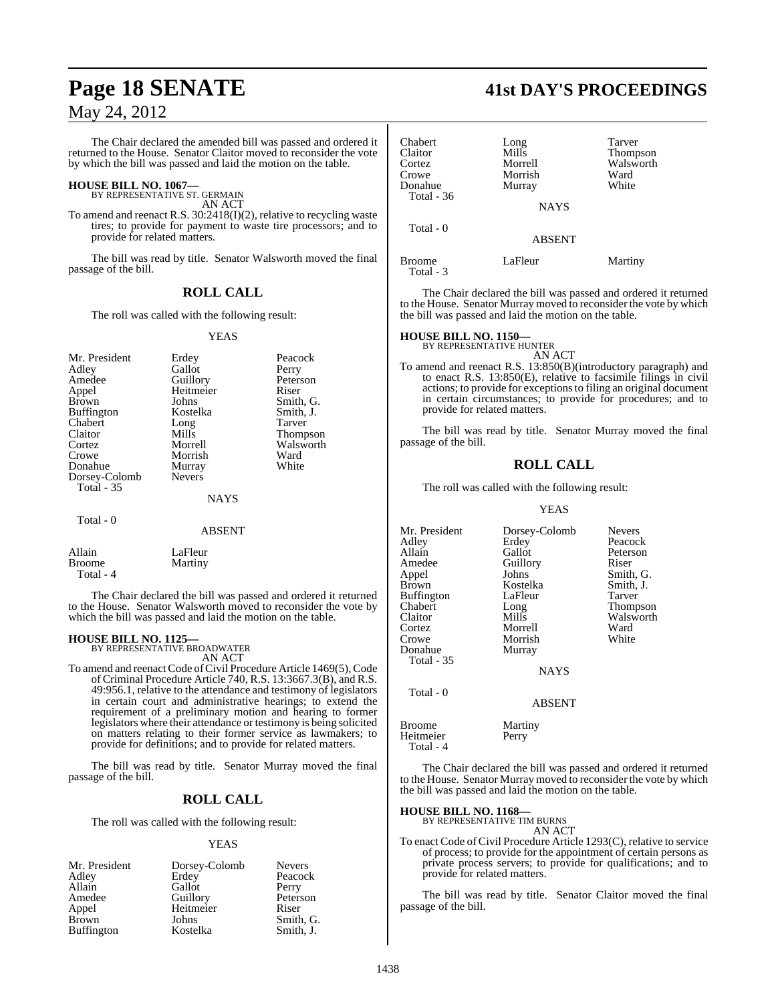The Chair declared the amended bill was passed and ordered it returned to the House. Senator Claitor moved to reconsider the vote by which the bill was passed and laid the motion on the table.

### **HOUSE BILL NO. 1067—** BY REPRESENTATIVE ST. GERMAIN

AN ACT

To amend and reenact R.S. 30:2418(I)(2), relative to recycling waste tires; to provide for payment to waste tire processors; and to provide for related matters.

The bill was read by title. Senator Walsworth moved the final passage of the bill.

#### **ROLL CALL**

The roll was called with the following result:

#### YEAS

| Mr. President     | Erdey         | Peacock         |
|-------------------|---------------|-----------------|
| Adley             | Gallot        | Perry           |
| Amedee            | Guillory      | Peterson        |
| Appel             | Heitmeier     | Riser           |
| <b>Brown</b>      | Johns         | Smith, G.       |
| <b>Buffington</b> | Kostelka      | Smith, J.       |
| Chabert           | Long          | Tarver          |
| Claitor           | Mills         | <b>Thompson</b> |
| Cortez            | Morrell       | Walsworth       |
| Crowe             | Morrish       | Ward            |
| Donahue           | Murray        | White           |
| Dorsey-Colomb     | <b>Nevers</b> |                 |
| <b>Total - 35</b> |               |                 |
|                   | <b>NAYS</b>   |                 |
| Total - 0         |               |                 |
|                   | <b>ABSENT</b> |                 |

Allain LaFleur<br>Broome Martiny Martiny Total - 4

The Chair declared the bill was passed and ordered it returned to the House. Senator Walsworth moved to reconsider the vote by which the bill was passed and laid the motion on the table.

### **HOUSE BILL NO. 1125—** BY REPRESENTATIVE BROADWATER

AN ACT

To amend and reenact Code of Civil Procedure Article 1469(5), Code of Criminal Procedure Article 740, R.S. 13:3667.3(B), and R.S. 49:956.1, relative to the attendance and testimony of legislators in certain court and administrative hearings; to extend the requirement of a preliminary motion and hearing to former legislators where their attendance or testimony is being solicited on matters relating to their former service as lawmakers; to provide for definitions; and to provide for related matters.

The bill was read by title. Senator Murray moved the final passage of the bill.

#### **ROLL CALL**

The roll was called with the following result:

#### YEAS

| Mr. President     | Dorsey-Colomb | <b>Nevers</b> |
|-------------------|---------------|---------------|
| Adley             | Erdey         | Peacock       |
| Allain            | Gallot        | Perry         |
| Amedee            | Guillory      | Peterson      |
| Appel             | Heitmeier     | Riser         |
| <b>Brown</b>      | Johns         | Smith, G.     |
| <b>Buffington</b> | Kostelka      | Smith, J.     |

### **Page 18 SENATE 41st DAY'S PROCEEDINGS**

| Chabert<br>Claitor<br>Cortez<br>Crowe<br>Donahue<br>Total - 36 | Long<br>Mills<br>Morrell<br>Morrish<br>Murray | Tarver<br><b>Thompson</b><br>Walsworth<br>Ward<br>White |
|----------------------------------------------------------------|-----------------------------------------------|---------------------------------------------------------|
|                                                                | <b>NAYS</b>                                   |                                                         |
| Total - 0                                                      | <b>ABSENT</b>                                 |                                                         |
| <b>Broome</b><br>Total - 3                                     | LaFleur                                       | Martiny                                                 |

The Chair declared the bill was passed and ordered it returned to the House. Senator Murray moved to reconsider the vote by which the bill was passed and laid the motion on the table.

**HOUSE BILL NO. 1150—** BY REPRESENTATIVE HUNTER

AN ACT

To amend and reenact R.S. 13:850(B)(introductory paragraph) and to enact R.S. 13:850(E), relative to facsimile filings in civil actions; to provide for exceptionsto filing an original document in certain circumstances; to provide for procedures; and to provide for related matters.

The bill was read by title. Senator Murray moved the final passage of the bill.

#### **ROLL CALL**

The roll was called with the following result:

#### YEAS

| Mr. President<br>Adley<br>Allain<br>Amedee<br>Appel<br><b>Brown</b><br><b>Buffington</b><br>Chabert<br>Claitor<br>Cortez<br>Crowe<br>Donahue<br>Total - 35 | Dorsey-Colomb<br>Erdey<br>Gallot<br>Guillory<br>Johns<br>Kostelka<br>LaFleur<br>Long<br>Mills<br>Morrell<br>Morrish<br>Murray | <b>Nevers</b><br>Peacock<br>Peterson<br>Riser<br>Smith, G.<br>Smith, J.<br>Tarver<br>Thompson<br>Walsworth<br>Ward<br>White |
|------------------------------------------------------------------------------------------------------------------------------------------------------------|-------------------------------------------------------------------------------------------------------------------------------|-----------------------------------------------------------------------------------------------------------------------------|
|                                                                                                                                                            | <b>NAYS</b>                                                                                                                   |                                                                                                                             |
| Total - 0                                                                                                                                                  | <b>ABSENT</b>                                                                                                                 |                                                                                                                             |
| <b>Broome</b><br>Heitmeier                                                                                                                                 | Martiny<br>Perry                                                                                                              |                                                                                                                             |

The Chair declared the bill was passed and ordered it returned to the House. Senator Murray moved to reconsider the vote by which the bill was passed and laid the motion on the table.

#### **HOUSE BILL NO. 1168—**

Total - 4

BY REPRESENTATIVE TIM BURNS AN ACT

To enact Code of Civil Procedure Article 1293(C), relative to service of process; to provide for the appointment of certain persons as private process servers; to provide for qualifications; and to provide for related matters.

The bill was read by title. Senator Claitor moved the final passage of the bill.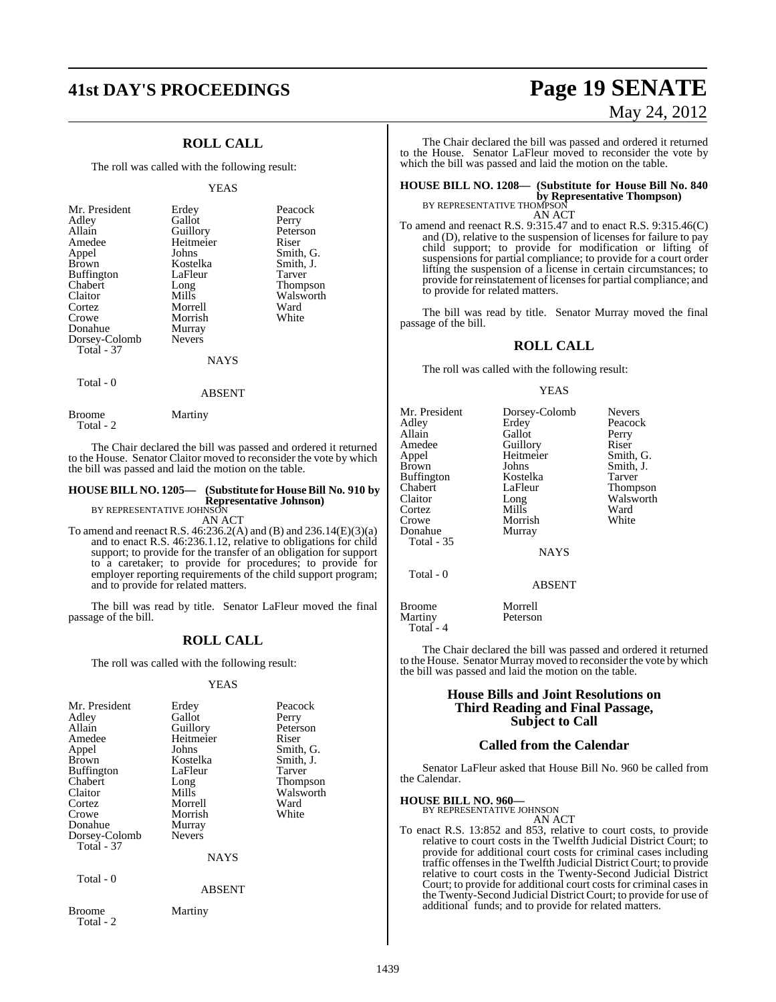## **41st DAY'S PROCEEDINGS Page 19 SENATE**

### **ROLL CALL**

The roll was called with the following result:

#### YEAS

| Mr. President<br>Adley<br>Allain<br>Amedee<br>Appel<br><b>Brown</b><br><b>Buffington</b><br>Chabert<br>Claitor<br>Cortez<br>Crowe<br>Donahue<br>Dorsey-Colomb<br>Total - 37 | Erdey<br>Gallot<br>Guillory<br>Heitmeier<br>Johns<br>Kostelka<br>LaFleur<br>Long<br>Mills<br>Morrell<br>Morrish<br>Murray<br><b>Nevers</b> | Peacock<br>Perry<br>Peterson<br>Riser<br>Smith, G.<br>Smith, J.<br>Tarver<br>Thompson<br>Walsworth<br>Ward<br>White |
|-----------------------------------------------------------------------------------------------------------------------------------------------------------------------------|--------------------------------------------------------------------------------------------------------------------------------------------|---------------------------------------------------------------------------------------------------------------------|
|                                                                                                                                                                             | <b>NAYS</b>                                                                                                                                |                                                                                                                     |

#### Total - 0

Total - 2

Broome Martiny

ABSENT

The Chair declared the bill was passed and ordered it returned to the House. Senator Claitor moved to reconsider the vote by which the bill was passed and laid the motion on the table.

### **HOUSE BILL NO. 1205— (Substitute for House Bill No. 910 by Representative Johnson)** BY REPRESENTATIVE JOHNSON

AN ACT

To amend and reenact R.S. 46:236.2(A) and (B) and 236.14(E)(3)(a) and to enact R.S. 46:236.1.12, relative to obligations for child support; to provide for the transfer of an obligation for support to a caretaker; to provide for procedures; to provide for employer reporting requirements of the child support program; and to provide for related matters.

The bill was read by title. Senator LaFleur moved the final passage of the bill.

### **ROLL CALL**

The roll was called with the following result:

#### YEAS

| Mr. President<br>Adley<br>Allain<br>Amedee<br>Appel<br><b>Brown</b><br><b>Buffington</b><br>Chabert<br>Claitor<br>Cortez<br>Crowe<br>Donahue<br>Dorsey-Colomb<br>Total - 37 | Erdey<br>Gallot<br>Guillory<br>Heitmeier<br>Johns<br>Kostelka<br>LaFleur<br>Long<br>Mills<br>Morrell<br>Morrish<br>Murray<br><b>Nevers</b><br><b>NAYS</b> | Peacock<br>Perry<br>Peterson<br>Riser<br>Smith, G.<br>Smith, J.<br>Tarver<br><b>Thompson</b><br>Walsworth<br>Ward<br>White |
|-----------------------------------------------------------------------------------------------------------------------------------------------------------------------------|-----------------------------------------------------------------------------------------------------------------------------------------------------------|----------------------------------------------------------------------------------------------------------------------------|
| Total - 0                                                                                                                                                                   | <b>ABSENT</b>                                                                                                                                             |                                                                                                                            |
| Broome<br>Total - 2                                                                                                                                                         | Martiny                                                                                                                                                   |                                                                                                                            |

# May 24, 2012

The Chair declared the bill was passed and ordered it returned to the House. Senator LaFleur moved to reconsider the vote by which the bill was passed and laid the motion on the table.

### **HOUSE BILL NO. 1208— (Substitute for House Bill No. 840 by Representative Thompson)**<br>BY REPRESENTATIVE THOMPSON

AN ACT

To amend and reenact R.S. 9:315.47 and to enact R.S. 9:315.46(C) and (D), relative to the suspension of licenses for failure to pay child support; to provide for modification or lifting of suspensions for partial compliance; to provide for a court order lifting the suspension of a license in certain circumstances; to provide for reinstatement of licenses for partial compliance; and to provide for related matters.

The bill was read by title. Senator Murray moved the final passage of the bill.

### **ROLL CALL**

The roll was called with the following result:

#### YEAS

| Mr. President<br>Adley<br>Allain<br>Amedee<br>Appel<br><b>Brown</b><br>Buffington<br>Chabert<br>Claitor<br>Cortez<br>Crowe<br>Donahue | Dorsey-Colomb<br>Erdey<br>Gallot<br>Guillory<br>Heitmeier<br>Johns<br>Kostelka<br>LaFleur<br>Long<br>Mills<br>Morrish<br>Murray | <b>Nevers</b><br>Peacock<br>Perry<br>Riser<br>Smith, G.<br>Smith, J.<br>Tarver<br>Thompson<br>Walsworth<br>Ward<br>White |
|---------------------------------------------------------------------------------------------------------------------------------------|---------------------------------------------------------------------------------------------------------------------------------|--------------------------------------------------------------------------------------------------------------------------|
| <b>Total - 35</b>                                                                                                                     | <b>NAYS</b>                                                                                                                     |                                                                                                                          |
| Total - 0                                                                                                                             | <b>ABSENT</b>                                                                                                                   |                                                                                                                          |
| <b>Broome</b>                                                                                                                         | Morrell                                                                                                                         |                                                                                                                          |

Martiny Peterson Total - 4

The Chair declared the bill was passed and ordered it returned to the House. Senator Murray moved to reconsider the vote by which the bill was passed and laid the motion on the table.

#### **House Bills and Joint Resolutions on Third Reading and Final Passage, Subject to Call**

#### **Called from the Calendar**

Senator LaFleur asked that House Bill No. 960 be called from the Calendar.

#### **HOUSE BILL NO. 960—**

BY REPRESENTATIVE JOHNSON

AN ACT To enact R.S. 13:852 and 853, relative to court costs, to provide relative to court costs in the Twelfth Judicial District Court; to provide for additional court costs for criminal cases including traffic offensesin the Twelfth Judicial District Court; to provide relative to court costs in the Twenty-Second Judicial District Court; to provide for additional court costs for criminal cases in the Twenty-Second Judicial District Court; to provide for use of additional funds; and to provide for related matters.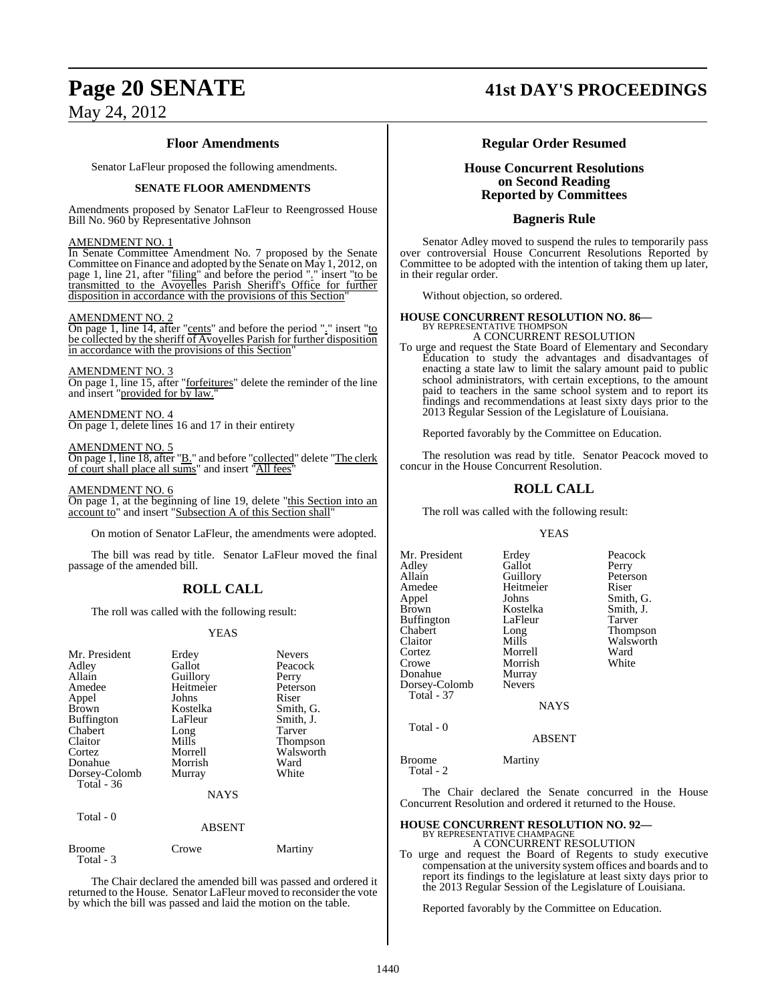#### **Floor Amendments**

Senator LaFleur proposed the following amendments.

#### **SENATE FLOOR AMENDMENTS**

Amendments proposed by Senator LaFleur to Reengrossed House Bill No. 960 by Representative Johnson

#### AMENDMENT NO. 1

In Senate Committee Amendment No. 7 proposed by the Senate Committee on Finance and adopted by the Senate on May 1, 2012, on page 1, line 21, after "filing" and before the period "." insert "to be transmitted to the Avoyelles Parish Sheriff's Office for further disposition in accordance with the provisions of this Section'

#### AMENDMENT NO. 2

On page 1, line 14, after "cents" and before the period "." insert "to be collected by the sheriff of Avoyelles Parish for further disposition in accordance with the provisions of this Section"

AMENDMENT NO. 3 On page 1, line 15, after "forfeitures" delete the reminder of the line and insert "provided for by law."

AMENDMENT NO. 4 On page 1, delete lines 16 and 17 in their entirety

#### AMENDMENT NO. 5

On page 1, line 18, after "B." and before "collected" delete "The clerk of court shall place all sums" and insert "All fees"

#### AMENDMENT NO. 6

On page 1, at the beginning of line 19, delete "this Section into an account to" and insert "Subsection A of this Section shall

On motion of Senator LaFleur, the amendments were adopted.

The bill was read by title. Senator LaFleur moved the final passage of the amended bill.

#### **ROLL CALL**

The roll was called with the following result:

#### YEAS

| Mr. President<br>Adley<br>Allain<br>Amedee<br>Appel<br><b>Brown</b><br><b>Buffington</b><br>Chabert<br>Claitor<br>Cortez<br>Donahue<br>Dorsey-Colomb<br>Total $-36$ | Erdey<br>Gallot<br>Guillory<br>Heitmeier<br>Johns<br>Kostelka<br>LaFleur<br>Long<br>Mills<br>Morrell<br>Morrish<br>Murray | <b>Nevers</b><br>Peacock<br>Perry<br>Peterson<br>Riser<br>Smith, G.<br>Smith, J.<br>Tarver<br><b>Thompson</b><br>Walsworth<br>Ward<br>White |
|---------------------------------------------------------------------------------------------------------------------------------------------------------------------|---------------------------------------------------------------------------------------------------------------------------|---------------------------------------------------------------------------------------------------------------------------------------------|
|                                                                                                                                                                     | <b>NAYS</b>                                                                                                               |                                                                                                                                             |
| Total - 0                                                                                                                                                           | ABSENT                                                                                                                    |                                                                                                                                             |

Broome Crowe Martiny Total - 3

The Chair declared the amended bill was passed and ordered it returned to the House. Senator LaFleur moved to reconsider the vote by which the bill was passed and laid the motion on the table.

### **Page 20 SENATE 41st DAY'S PROCEEDINGS**

#### **Regular Order Resumed**

#### **House Concurrent Resolutions on Second Reading Reported by Committees**

#### **Bagneris Rule**

Senator Adley moved to suspend the rules to temporarily pass over controversial House Concurrent Resolutions Reported by Committee to be adopted with the intention of taking them up later, in their regular order.

Without objection, so ordered.

#### **HOUSE CONCURRENT RESOLUTION NO. 86—**

BY REPRESENTATIVE THOMPSON A CONCURRENT RESOLUTION

To urge and request the State Board of Elementary and Secondary Education to study the advantages and disadvantages of enacting a state law to limit the salary amount paid to public school administrators, with certain exceptions, to the amount paid to teachers in the same school system and to report its findings and recommendations at least sixty days prior to the 2013 Regular Session of the Legislature of Louisiana.

Reported favorably by the Committee on Education.

The resolution was read by title. Senator Peacock moved to concur in the House Concurrent Resolution.

### **ROLL CALL**

The roll was called with the following result:

#### YEAS

Mr. President Erdey Peacock Adley Gallot Perry<br>
Allain Guillory Peterson Allain Guillory Peters<br>
Amedee Heitmeier Riser Amedee Heitmeier<br>Appel Johns Appel Johns Smith, G. Kostelka Smith, J.<br>LaFleur Tarver Buffington LaFle<br>Chabert Long Chabert Long Thompson Walsworth Cortez Morrell Ward<br>Crowe Morrish White Morrish<br>Murray Donahue Murray<br>Dorsey-Colomb Nevers Dorsey-Colomb Total - 37 **NAYS** 

#### ABSENT

Broome Martiny Total - 2

Total - 0

The Chair declared the Senate concurred in the House Concurrent Resolution and ordered it returned to the House.

#### **HOUSE CONCURRENT RESOLUTION NO. 92—**

BY REPRESENTATIVE CHAMPAGNE A CONCURRENT RESOLUTION

To urge and request the Board of Regents to study executive compensation at the university system offices and boards and to report its findings to the legislature at least sixty days prior to the 2013 Regular Session of the Legislature of Louisiana.

Reported favorably by the Committee on Education.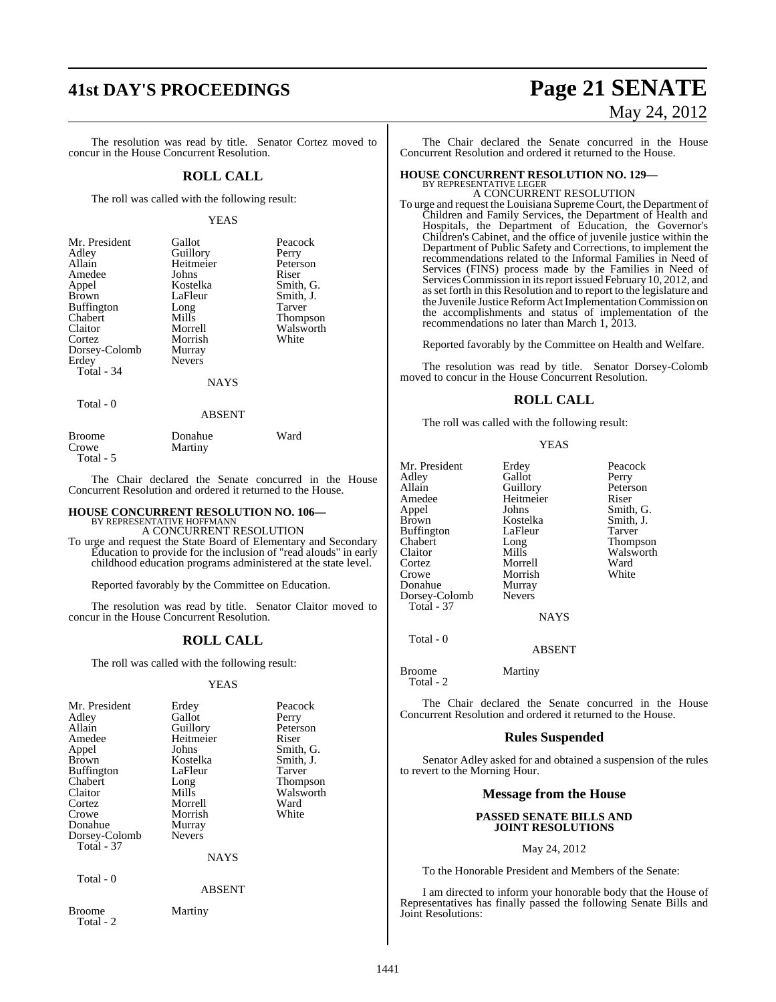# **41st DAY'S PROCEEDINGS Page 21 SENATE**

The resolution was read by title. Senator Cortez moved to concur in the House Concurrent Resolution.

#### **ROLL CALL**

The roll was called with the following result:

#### YEAS

| Mr. President<br>Adley<br>Allain<br>Amedee<br>Appel<br><b>Brown</b><br><b>Buffington</b><br>Chabert<br>Claitor<br>Cortez<br>Dorsey-Colomb<br>Erdey<br>Total - 34 | Gallot<br>Guillory<br>Heitmeier<br>Johns<br>Kostelka<br>LaFleur<br>Long<br>Mills<br>Morrell<br>Morrish<br>Murray<br><b>Nevers</b><br><b>NAYS</b> | Peacock<br>Perry<br>Peterson<br>Riser<br>Smith, G.<br>Smith, J.<br>Tarver<br>Thompson<br>Walsworth<br>White |
|------------------------------------------------------------------------------------------------------------------------------------------------------------------|--------------------------------------------------------------------------------------------------------------------------------------------------|-------------------------------------------------------------------------------------------------------------|
| Total - 0                                                                                                                                                        |                                                                                                                                                  |                                                                                                             |

#### ABSENT

| Broome    | Donahue | Ward |
|-----------|---------|------|
| Crowe     | Martiny |      |
| Total - 5 |         |      |

The Chair declared the Senate concurred in the House Concurrent Resolution and ordered it returned to the House.

### **HOUSE CONCURRENT RESOLUTION NO. 106—** BY REPRESENTATIVE HOFFMANN

A CONCURRENT RESOLUTION

To urge and request the State Board of Elementary and Secondary Education to provide for the inclusion of "read alouds" in early childhood education programs administered at the state level.

Reported favorably by the Committee on Education.

The resolution was read by title. Senator Claitor moved to concur in the House Concurrent Resolution.

#### **ROLL CALL**

The roll was called with the following result:

#### YEAS

| Mr. President              | Erdey         | Peacock   |
|----------------------------|---------------|-----------|
| Adley                      | Gallot        | Perry     |
| Allain                     | Guillory      | Peterson  |
| Amedee                     | Heitmeier     | Riser     |
| Appel                      | Johns         | Smith, G. |
| Brown                      | Kostelka      | Smith, J. |
| <b>Buffington</b>          | LaFleur       | Tarver    |
| Chabert                    | Long          | Thompson  |
| Claitor                    | Mills         | Walsworth |
| Cortez                     | Morrell       | Ward      |
| Crowe                      | Morrish       | White     |
| Donahue                    | Murray        |           |
| Dorsey-Colomb              | <b>Nevers</b> |           |
| <b>Total - 37</b>          |               |           |
|                            | <b>NAYS</b>   |           |
| Total - 0                  |               |           |
|                            | <b>ABSENT</b> |           |
| <b>Broome</b><br>Total - 2 | Martiny       |           |

# May 24, 2012

The Chair declared the Senate concurred in the House Concurrent Resolution and ordered it returned to the House.

### **HOUSE CONCURRENT RESOLUTION NO. 129—** BY REPRESENTATIVE LEGER

A CONCURRENT RESOLUTION To urge and request the Louisiana Supreme Court, the Department of Children and Family Services, the Department of Health and Hospitals, the Department of Education, the Governor's Children's Cabinet, and the office of juvenile justice within the Department of Public Safety and Corrections, to implement the recommendations related to the Informal Families in Need of Services (FINS) process made by the Families in Need of Services Commission in its report issued February 10, 2012, and as set forth in this Resolution and to report to the legislature and the Juvenile Justice Reform Act Implementation Commission on the accomplishments and status of implementation of the

Reported favorably by the Committee on Health and Welfare.

The resolution was read by title. Senator Dorsey-Colomb moved to concur in the House Concurrent Resolution.

#### **ROLL CALL**

The roll was called with the following result:

Morrish<br>Murray

recommendations no later than March 1, 2013.

YEAS

Mr. President Erdey Peacock<br>Adley Gallot Perry Adley Gallot<br>Allain Guillory Amedee Heitmeier Riser<br>Appel Johns Smith Brown Kostelka Smith,<br>Buffington LaFleur Tarver Buffington LaFle<br>Chabert Long Claitor Mills Walsworth<br>
Cortez Morrell Ward Cortez Morrell Ward Donahue Murray<br>Dorsev-Colomb Nevers Dorsey-Colomb

Peterson Smith, G.<br>Smith, J. Long Thompson<br>Mills Walsworth

**NAYS** 

ABSENT

Broome Martiny Total - 2

Total - 37

Total - 0

The Chair declared the Senate concurred in the House Concurrent Resolution and ordered it returned to the House.

#### **Rules Suspended**

Senator Adley asked for and obtained a suspension of the rules to revert to the Morning Hour.

#### **Message from the House**

#### **PASSED SENATE BILLS AND JOINT RESOLUTIONS**

#### May 24, 2012

To the Honorable President and Members of the Senate:

I am directed to inform your honorable body that the House of Representatives has finally passed the following Senate Bills and Joint Resolutions: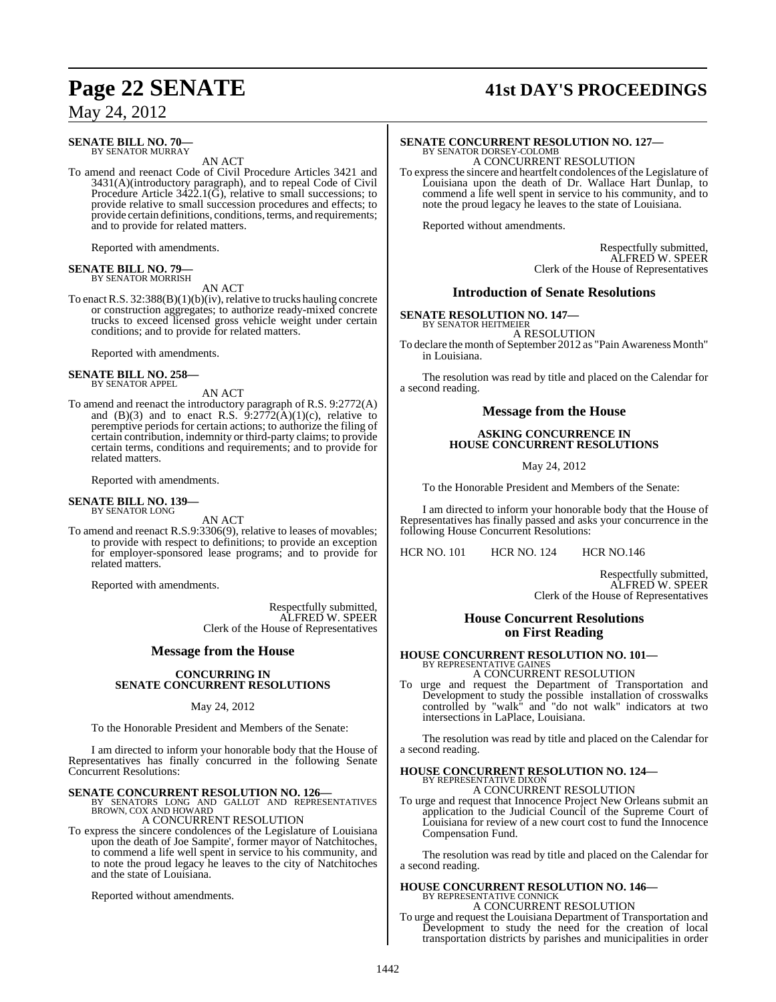#### **SENATE BILL NO. 70—** BY SENATOR MURRAY

AN ACT

To amend and reenact Code of Civil Procedure Articles 3421 and 3431(A)(introductory paragraph), and to repeal Code of Civil Procedure Article  $3422.1(\tilde{G})$ , relative to small successions; to provide relative to small succession procedures and effects; to provide certain definitions, conditions, terms, and requirements; and to provide for related matters.

Reported with amendments.

#### **SENATE BILL NO. 79—** BY SENATOR MORRISH

AN ACT

To enact R.S. 32:388(B)(1)(b)(iv), relative to trucks hauling concrete or construction aggregates; to authorize ready-mixed concrete trucks to exceed licensed gross vehicle weight under certain conditions; and to provide for related matters.

Reported with amendments.

#### **SENATE BILL NO. 258—** BY SENATOR APPEL

AN ACT

To amend and reenact the introductory paragraph of R.S. 9:2772(A) and  $(B)(3)$  and to enact R.S.  $\overline{9:}27\overline{7}2(\overline{A})(1)(c)$ , relative to peremptive periods for certain actions; to authorize the filing of certain contribution, indemnity or third-party claims; to provide certain terms, conditions and requirements; and to provide for related matters.

Reported with amendments.

#### **SENATE BILL NO. 139—** BY SENATOR LONG

AN ACT

To amend and reenact R.S.9:3306(9), relative to leases of movables; to provide with respect to definitions; to provide an exception for employer-sponsored lease programs; and to provide for related matters.

Reported with amendments.

Respectfully submitted, ALFRED W. SPEER Clerk of the House of Representatives

#### **Message from the House**

#### **CONCURRING IN SENATE CONCURRENT RESOLUTIONS**

#### May 24, 2012

To the Honorable President and Members of the Senate:

I am directed to inform your honorable body that the House of Representatives has finally concurred in the following Senate Concurrent Resolutions:

**SENATE CONCURRENT RESOLUTION NO. 126—BY SENATORS LONG AND GALLOT AND REPRESENTATIVES**<br>BROWN, COX AND HOWARD

### A CONCURRENT RESOLUTION

To express the sincere condolences of the Legislature of Louisiana upon the death of Joe Sampite', former mayor of Natchitoches, to commend a life well spent in service to his community, and to note the proud legacy he leaves to the city of Natchitoches and the state of Louisiana.

Reported without amendments.

### **Page 22 SENATE 41st DAY'S PROCEEDINGS**

# **SENATE CONCURRENT RESOLUTION NO. 127—**<br>BY SENATOR DORSEY-COLOMB<br>A CONCURRENT RESOLUTION

To expressthe sincere and heartfelt condolences of the Legislature of Louisiana upon the death of Dr. Wallace Hart Dunlap, to commend a life well spent in service to his community, and to note the proud legacy he leaves to the state of Louisiana.

Reported without amendments.

Respectfully submitted, ALFRED W. SPEER Clerk of the House of Representatives

#### **Introduction of Senate Resolutions**

**SENATE RESOLUTION NO. 147—** BY SENATOR HEITMEIER

A RESOLUTION

To declare the month of September 2012 as "Pain Awareness Month" in Louisiana.

The resolution was read by title and placed on the Calendar for a second reading.

#### **Message from the House**

#### **ASKING CONCURRENCE IN HOUSE CONCURRENT RESOLUTIONS**

May 24, 2012

To the Honorable President and Members of the Senate:

I am directed to inform your honorable body that the House of Representatives has finally passed and asks your concurrence in the following House Concurrent Resolutions:

HCR NO. 101 HCR NO. 124 HCR NO.146

Respectfully submitted, ALFRED W. SPEER Clerk of the House of Representatives

#### **House Concurrent Resolutions on First Reading**

### **HOUSE CONCURRENT RESOLUTION NO. 101—** BY REPRESENTATIVE GAINES

A CONCURRENT RESOLUTION

To urge and request the Department of Transportation and Development to study the possible installation of crosswalks controlled by "walk" and "do not walk" indicators at two intersections in LaPlace, Louisiana.

The resolution was read by title and placed on the Calendar for a second reading.

#### **HOUSE CONCURRENT RESOLUTION NO. 124—** BY REPRESENTATIVE DIXON

A CONCURRENT RESOLUTION

To urge and request that Innocence Project New Orleans submit an application to the Judicial Council of the Supreme Court of Louisiana for review of a new court cost to fund the Innocence Compensation Fund.

The resolution was read by title and placed on the Calendar for a second reading.

#### **HOUSE CONCURRENT RESOLUTION NO. 146—** BY REPRESENTATIVE CONNICK

A CONCURRENT RESOLUTION

To urge and request the Louisiana Department of Transportation and Development to study the need for the creation of local transportation districts by parishes and municipalities in order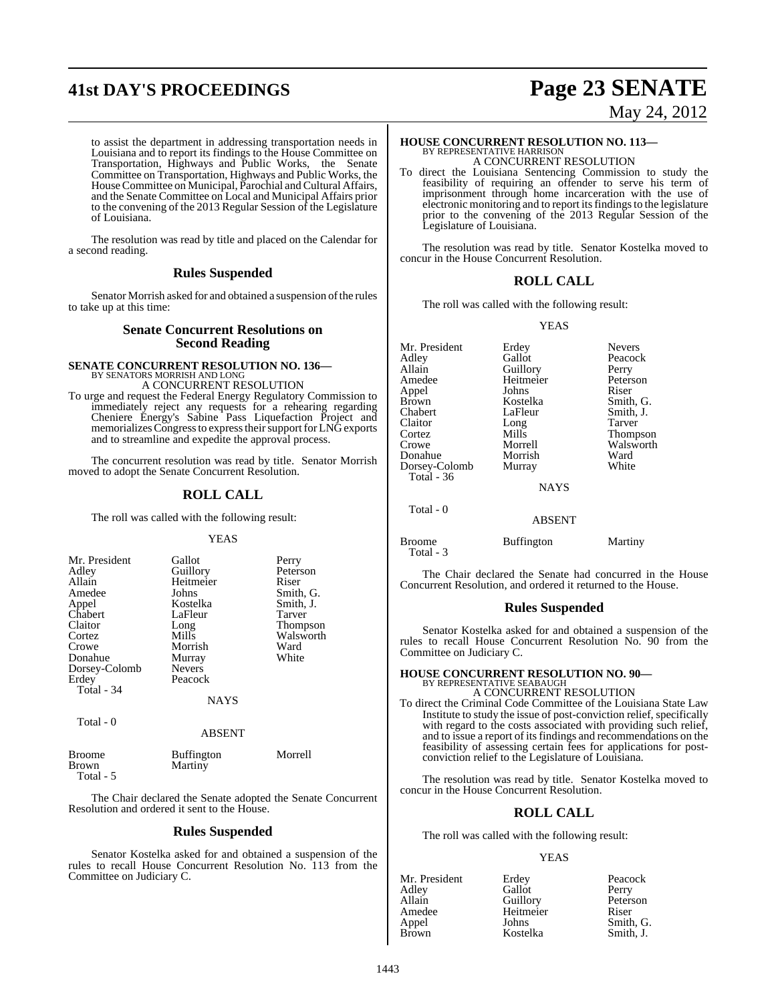# **41st DAY'S PROCEEDINGS Page 23 SENATE**

to assist the department in addressing transportation needs in Louisiana and to report its findings to the House Committee on Transportation, Highways and Public Works, the Senate Committee on Transportation, Highways and Public Works, the House Committee on Municipal, Parochial and Cultural Affairs, and the Senate Committee on Local and Municipal Affairs prior to the convening of the 2013 Regular Session of the Legislature of Louisiana.

The resolution was read by title and placed on the Calendar for a second reading.

### **Rules Suspended**

Senator Morrish asked for and obtained a suspension of the rules to take up at this time:

#### **Senate Concurrent Resolutions on Second Reading**

# **SENATE CONCURRENT RESOLUTION NO. 136—** BY SENATORS MORRISH AND LONG

A CONCURRENT RESOLUTION

To urge and request the Federal Energy Regulatory Commission to immediately reject any requests for a rehearing regarding Cheniere Energy's Sabine Pass Liquefaction Project and memorializes Congress to express their support for LNG exports and to streamline and expedite the approval process.

The concurrent resolution was read by title. Senator Morrish moved to adopt the Senate Concurrent Resolution.

### **ROLL CALL**

The roll was called with the following result:

#### YEAS

|               | Perry                        |
|---------------|------------------------------|
|               | Peterson                     |
| Heitmeier     | Riser                        |
| Johns         | Smith, G.                    |
| Kostelka      | Smith, J.                    |
| LaFleur       | Tarver                       |
| Long          | <b>Thompson</b>              |
| Mills         | Walsworth                    |
| Morrish       | Ward                         |
|               | White                        |
| <b>Nevers</b> |                              |
| Peacock       |                              |
|               |                              |
| <b>NAYS</b>   |                              |
|               | Gallot<br>Guillory<br>Murray |

Total - 0

#### ABSENT

| Broome    | <b>Buffington</b> | Morrell |
|-----------|-------------------|---------|
| Brown     | Martiny           |         |
| Total - 5 |                   |         |

The Chair declared the Senate adopted the Senate Concurrent Resolution and ordered it sent to the House.

### **Rules Suspended**

Senator Kostelka asked for and obtained a suspension of the rules to recall House Concurrent Resolution No. 113 from the Committee on Judiciary C.

# May 24, 2012

### **HOUSE CONCURRENT RESOLUTION NO. 113—** BY REPRESENTATIVE HARRISON A CONCURRENT RESOLUTION

To direct the Louisiana Sentencing Commission to study the feasibility of requiring an offender to serve his term of imprisonment through home incarceration with the use of electronic monitoring and to report its findings to the legislature prior to the convening of the 2013 Regular Session of the Legislature of Louisiana.

The resolution was read by title. Senator Kostelka moved to concur in the House Concurrent Resolution.

#### **ROLL CALL**

The roll was called with the following result:

#### YEAS

| Mr. President     | Erdey       | <b>Nevers</b> |
|-------------------|-------------|---------------|
| Adley             | Gallot      | Peacock       |
| Allain            | Guillory    | Perry         |
| Amedee            | Heitmeier   | Peterson      |
| Appel             | Johns       | Riser         |
| Brown             | Kostelka    | Smith, G.     |
| Chabert           | LaFleur     | Smith, J.     |
| Claitor           | Long        | <b>Tarver</b> |
| Cortez            | Mills       | Thompson      |
| Crowe             | Morrell     | Walsworth     |
| Donahue           | Morrish     | Ward          |
| Dorsey-Colomb     | Murray      | White         |
| <b>Total</b> - 36 |             |               |
|                   | <b>NAYS</b> |               |
| Total - 0         |             |               |
|                   | ABSENT      |               |

Broome Buffington Martiny Total - 3

The Chair declared the Senate had concurred in the House Concurrent Resolution, and ordered it returned to the House.

#### **Rules Suspended**

Senator Kostelka asked for and obtained a suspension of the rules to recall House Concurrent Resolution No. 90 from the Committee on Judiciary C.

### **HOUSE CONCURRENT RESOLUTION NO. 90—** BY REPRESENTATIVE SEABAUGH A CONCURRENT RESOLUTION

To direct the Criminal Code Committee of the Louisiana State Law Institute to study the issue of post-conviction relief, specifically with regard to the costs associated with providing such relief, and to issue a report of itsfindings and recommendations on the feasibility of assessing certain fees for applications for postconviction relief to the Legislature of Louisiana.

The resolution was read by title. Senator Kostelka moved to concur in the House Concurrent Resolution.

#### **ROLL CALL**

The roll was called with the following result:

Kostelka

#### YEAS

| Mr. President | Erdey     | Peacock  |
|---------------|-----------|----------|
| Adley         | Gallot    | Perry    |
| Allain        | Guillory  | Peterson |
| Amedee        | Heitmeier | Riser    |
| Appel         | Johns     | Smith, G |
| <b>Rrown</b>  | Kostelka  | Smith I  |

Erdey Peacock<br>Gallot Perry Guillory Peters<br>
Heitmeier Riser Smith, G.<br>Smith, J.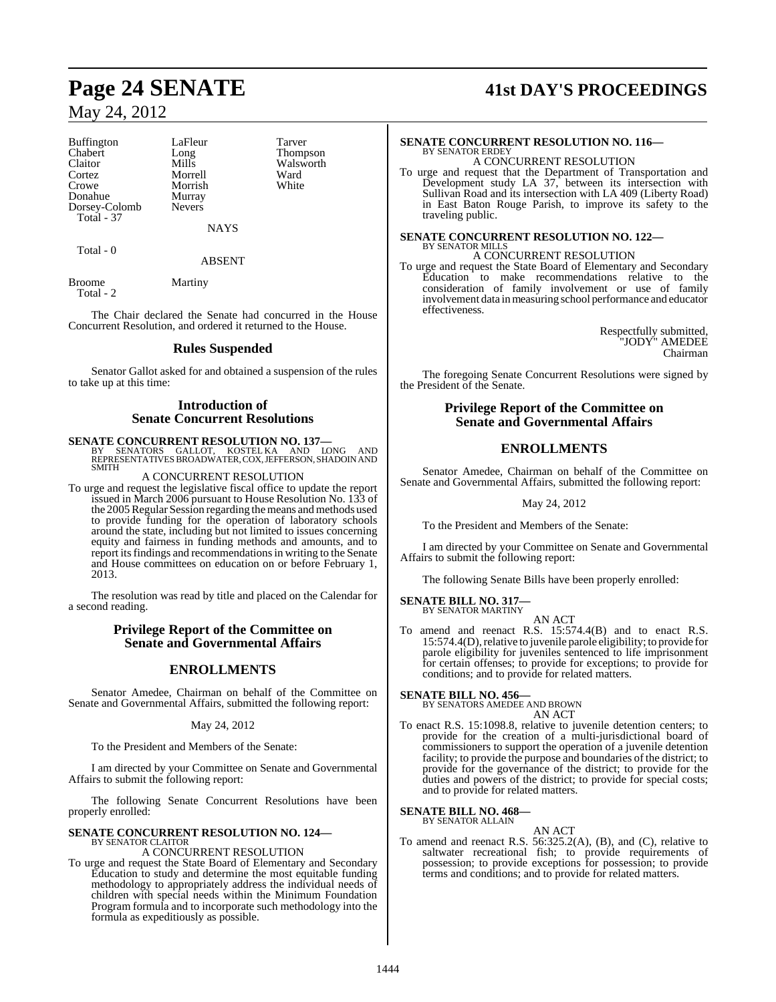Buffington LaFleur Tarver<br>
Chabert Long Thomp Chabert Long Thompson Claitor Mills Walsworth<br>
Cortez Morrell Ward Cortez Morrell Ward Donahue Murray<br>Dorsey-Colomb Nevers Dorsey-Colomb Total - 37

Morrish

NAYS

Total - 0

#### ABSENT

Broome Martiny Total - 2

The Chair declared the Senate had concurred in the House Concurrent Resolution, and ordered it returned to the House.

#### **Rules Suspended**

Senator Gallot asked for and obtained a suspension of the rules to take up at this time:

#### **Introduction of Senate Concurrent Resolutions**

**SENATE CONCURRENT RESOLUTION NO. 137—**<br>BY SENATORS GALLOT, KOSTEL KA AND LONG AND<br>REPRESENTATIVES BROADWATER, COX, JEFFERSON, SHADOIN AND SMITH

#### A CONCURRENT RESOLUTION

To urge and request the legislative fiscal office to update the report issued in March 2006 pursuant to House Resolution No. 133 of the 2005 Regular Session regarding the means and methods used to provide funding for the operation of laboratory schools around the state, including but not limited to issues concerning equity and fairness in funding methods and amounts, and to report its findings and recommendations in writing to the Senate and House committees on education on or before February 1, 2013.

The resolution was read by title and placed on the Calendar for a second reading.

#### **Privilege Report of the Committee on Senate and Governmental Affairs**

### **ENROLLMENTS**

Senator Amedee, Chairman on behalf of the Committee on Senate and Governmental Affairs, submitted the following report:

#### May 24, 2012

To the President and Members of the Senate:

I am directed by your Committee on Senate and Governmental Affairs to submit the following report:

The following Senate Concurrent Resolutions have been properly enrolled:

## **SENATE CONCURRENT RESOLUTION NO. 124—** BY SENATOR CLAITOR

#### A CONCURRENT RESOLUTION

To urge and request the State Board of Elementary and Secondary Education to study and determine the most equitable funding methodology to appropriately address the individual needs of children with special needs within the Minimum Foundation Program formula and to incorporate such methodology into the formula as expeditiously as possible.

## **Page 24 SENATE 41st DAY'S PROCEEDINGS**

#### **SENATE CONCURRENT RESOLUTION NO. 116—** BY SENATOR ERDEY

A CONCURRENT RESOLUTION To urge and request that the Department of Transportation and Development study LA 37, between its intersection with Sullivan Road and its intersection with LA 409 (Liberty Road) in East Baton Rouge Parish, to improve its safety to the traveling public.

#### **SENATE CONCURRENT RESOLUTION NO. 122—** BY SENATOR MILLS A CONCURRENT RESOLUTION

To urge and request the State Board of Elementary and Secondary Education to make recommendations relative to the consideration of family involvement or use of family involvement data in measuring school performance and educator effectiveness.

> Respectfully submitted, "JODY" AMEDEE Chairman

The foregoing Senate Concurrent Resolutions were signed by the President of the Senate.

> **Privilege Report of the Committee on Senate and Governmental Affairs**

### **ENROLLMENTS**

Senator Amedee, Chairman on behalf of the Committee on Senate and Governmental Affairs, submitted the following report:

May 24, 2012

To the President and Members of the Senate:

I am directed by your Committee on Senate and Governmental Affairs to submit the following report:

The following Senate Bills have been properly enrolled:

#### **SENATE BILL NO. 317—** BY SENATOR MARTINY

AN ACT To amend and reenact R.S. 15:574.4(B) and to enact R.S. 15:574.4(D), relative to juvenile parole eligibility; to provide for parole eligibility for juveniles sentenced to life imprisonment for certain offenses; to provide for exceptions; to provide for conditions; and to provide for related matters.

**SENATE BILL NO. 456—** BY SENATORS AMEDEE AND BROWN

AN ACT

To enact R.S. 15:1098.8, relative to juvenile detention centers; to provide for the creation of a multi-jurisdictional board of commissioners to support the operation of a juvenile detention facility; to provide the purpose and boundaries of the district; to provide for the governance of the district; to provide for the duties and powers of the district; to provide for special costs; and to provide for related matters.

#### **SENATE BILL NO. 468—** BY SENATOR ALLAIN

AN ACT

To amend and reenact R.S. 56:325.2(A), (B), and (C), relative to saltwater recreational fish; to provide requirements of possession; to provide exceptions for possession; to provide terms and conditions; and to provide for related matters.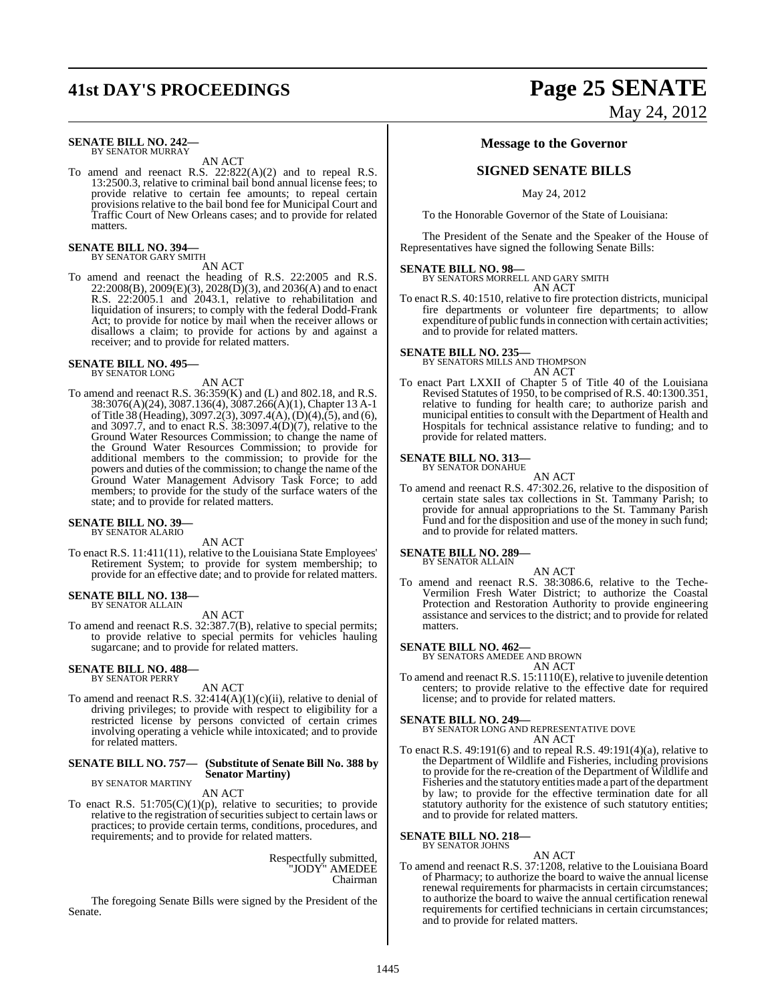#### **SENATE BILL NO. 242—** BY SENATOR MURRAY

AN ACT

To amend and reenact R.S. 22:822(A)(2) and to repeal R.S. 13:2500.3, relative to criminal bail bond annual license fees; to provide relative to certain fee amounts; to repeal certain provisions relative to the bail bond fee for Municipal Court and Traffic Court of New Orleans cases; and to provide for related matters.

### **SENATE BILL NO. 394—** BY SENATOR GARY SMITH

AN ACT

To amend and reenact the heading of R.S. 22:2005 and R.S.  $22:2008(B), 2009(E)(3), 2028(D)(3),$  and  $2036(A)$  and to enact R.S. 22:2005.1 and 2043.1, relative to rehabilitation and liquidation of insurers; to comply with the federal Dodd-Frank Act; to provide for notice by mail when the receiver allows or disallows a claim; to provide for actions by and against a receiver; and to provide for related matters.

### **SENATE BILL NO. 495—** BY SENATOR LONG

AN ACT

To amend and reenact R.S. 36:359(K) and (L) and 802.18, and R.S. 38:3076(A)(24), 3087.136(4), 3087.266(A)(1), Chapter 13 A-1 ofTitle 38 (Heading), 3097.2(3), 3097.4(A),(D)(4),(5), and (6), and 3097.7, and to enact R.S. 38:3097.4(D)(7), relative to the Ground Water Resources Commission; to change the name of the Ground Water Resources Commission; to provide for additional members to the commission; to provide for the powers and duties of the commission; to change the name of the Ground Water Management Advisory Task Force; to add members; to provide for the study of the surface waters of the state; and to provide for related matters.

#### **SENATE BILL NO. 39—** BY SENATOR ALARIO

AN ACT

To enact R.S. 11:411(11), relative to the Louisiana State Employees' Retirement System; to provide for system membership; to provide for an effective date; and to provide for related matters.

### **SENATE BILL NO. 138—** BY SENATOR ALLAIN

AN ACT

To amend and reenact R.S. 32:387.7(B), relative to special permits; to provide relative to special permits for vehicles hauling sugarcane; and to provide for related matters.

# **SENATE BILL NO. 488—** BY SENATOR PERRY

#### AN ACT

To amend and reenact R.S.  $32:414(A)(1)(c)(ii)$ , relative to denial of driving privileges; to provide with respect to eligibility for a restricted license by persons convicted of certain crimes involving operating a vehicle while intoxicated; and to provide for related matters.

#### **SENATE BILL NO. 757— (Substitute of Senate Bill No. 388 by Senator Martiny)** BY SENATOR MARTINY

AN ACT

To enact R.S.  $51:705(C)(1)(p)$ , relative to securities; to provide relative to the registration of securities subject to certain laws or practices; to provide certain terms, conditions, procedures, and requirements; and to provide for related matters.

> Respectfully submitted, "JODY" AMEDEE Chairman

The foregoing Senate Bills were signed by the President of the Senate.

# **41st DAY'S PROCEEDINGS Page 25 SENATE** May 24, 2012

#### **Message to the Governor**

### **SIGNED SENATE BILLS**

May 24, 2012

To the Honorable Governor of the State of Louisiana:

The President of the Senate and the Speaker of the House of Representatives have signed the following Senate Bills:

**SENATE BILL NO. 98—** BY SENATORS MORRELL AND GARY SMITH AN ACT

To enact R.S. 40:1510, relative to fire protection districts, municipal fire departments or volunteer fire departments; to allow expenditure of public funds in connection with certain activities; and to provide for related matters.

#### **SENATE BILL NO. 235—**

BY SENATORS MILLS AND THOMPSON AN ACT

To enact Part LXXII of Chapter 5 of Title 40 of the Louisiana Revised Statutes of 1950, to be comprised of R.S. 40:1300.351, relative to funding for health care; to authorize parish and municipal entities to consult with the Department of Health and Hospitals for technical assistance relative to funding; and to provide for related matters.

#### **SENATE BILL NO. 313—**

BY SENATOR DONAHUE AN ACT

To amend and reenact R.S. 47:302.26, relative to the disposition of certain state sales tax collections in St. Tammany Parish; to provide for annual appropriations to the St. Tammany Parish Fund and for the disposition and use of the money in such fund; and to provide for related matters.

#### **SENATE BILL NO. 289—** BY SENATOR ALLAIN

AN ACT To amend and reenact R.S. 38:3086.6, relative to the Teche-Vermilion Fresh Water District; to authorize the Coastal Protection and Restoration Authority to provide engineering assistance and services to the district; and to provide for related matters.

#### **SENATE BILL NO. 462—**

BY SENATORS AMEDEE AND BROWN AN ACT

To amend and reenact R.S. 15:1110(E), relative to juvenile detention centers; to provide relative to the effective date for required license; and to provide for related matters.

**SENATE BILL NO. 249—** BY SENATOR LONG AND REPRESENTATIVE DOVE AN ACT

To enact R.S. 49:191(6) and to repeal R.S. 49:191(4)(a), relative to the Department of Wildlife and Fisheries, including provisions to provide for the re-creation of the Department of Wildlife and Fisheries and the statutory entities made a part of the department by law; to provide for the effective termination date for all statutory authority for the existence of such statutory entities; and to provide for related matters.

### **SENATE BILL NO. 218—** BY SENATOR JOHNS

AN ACT To amend and reenact R.S. 37:1208, relative to the Louisiana Board of Pharmacy; to authorize the board to waive the annual license renewal requirements for pharmacists in certain circumstances; to authorize the board to waive the annual certification renewal requirements for certified technicians in certain circumstances; and to provide for related matters.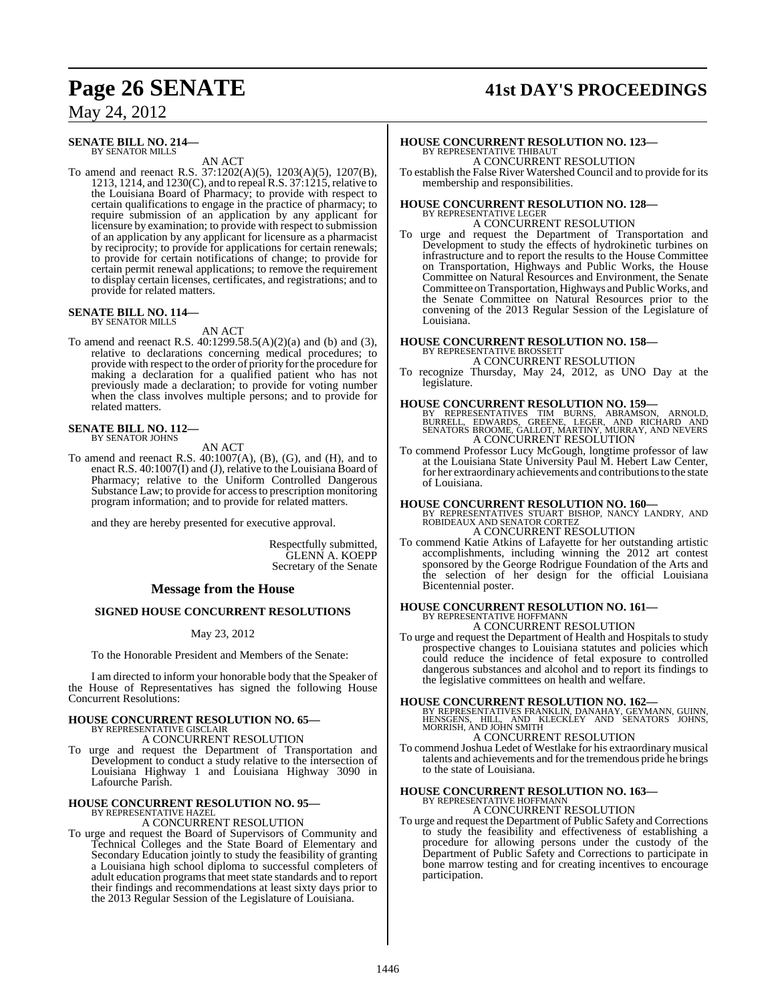## **Page 26 SENATE 41st DAY'S PROCEEDINGS**

### May 24, 2012

#### **SENATE BILL NO. 214—** BY SENATOR MILLS

AN ACT

To amend and reenact R.S. 37:1202(A)(5), 1203(A)(5), 1207(B), 1213, 1214, and 1230(C), and to repeal R.S. 37:1215, relative to the Louisiana Board of Pharmacy; to provide with respect to certain qualifications to engage in the practice of pharmacy; to require submission of an application by any applicant for licensure by examination; to provide with respect to submission of an application by any applicant for licensure as a pharmacist by reciprocity; to provide for applications for certain renewals; to provide for certain notifications of change; to provide for certain permit renewal applications; to remove the requirement to display certain licenses, certificates, and registrations; and to provide for related matters.

### **SENATE BILL NO. 114—** BY SENATOR MILLS

#### AN ACT

To amend and reenact R.S. 40:1299.58.5(A)(2)(a) and (b) and (3), relative to declarations concerning medical procedures; to provide with respect to the order of priority forthe procedure for making a declaration for a qualified patient who has not previously made a declaration; to provide for voting number when the class involves multiple persons; and to provide for related matters.

### **SENATE BILL NO. 112—** BY SENATOR JOHNS

AN ACT

To amend and reenact R.S. 40:1007(A), (B), (G), and (H), and to enact R.S. 40:1007(I) and (J), relative to the Louisiana Board of Pharmacy; relative to the Uniform Controlled Dangerous Substance Law; to provide for accessto prescription monitoring program information; and to provide for related matters.

and they are hereby presented for executive approval.

Respectfully submitted, GLENN A. KOEPP Secretary of the Senate

#### **Message from the House**

#### **SIGNED HOUSE CONCURRENT RESOLUTIONS**

#### May 23, 2012

To the Honorable President and Members of the Senate:

I am directed to inform your honorable body that the Speaker of the House of Representatives has signed the following House Concurrent Resolutions:

### **HOUSE CONCURRENT RESOLUTION NO. 65—** BY REPRESENTATIVE GISCLAIR

A CONCURRENT RESOLUTION

To urge and request the Department of Transportation and Development to conduct a study relative to the intersection of Louisiana Highway 1 and Louisiana Highway 3090 in Lafourche Parish.

#### **HOUSE CONCURRENT RESOLUTION NO. 95—** BY REPRESENTATIVE HAZE

A CONCURRENT RESOLUTION

To urge and request the Board of Supervisors of Community and Technical Colleges and the State Board of Elementary and Secondary Education jointly to study the feasibility of granting a Louisiana high school diploma to successful completers of adult education programsthat meet state standards and to report their findings and recommendations at least sixty days prior to the 2013 Regular Session of the Legislature of Louisiana.

# **HOUSE CONCURRENT RESOLUTION NO. 123—** BY REPRESENTATIVE THIBAUT

A CONCURRENT RESOLUTION To establish the False River Watershed Council and to provide for its membership and responsibilities.

# **HOUSE CONCURRENT RESOLUTION NO. 128—** BY REPRESENTATIVE LEGER

A CONCURRENT RESOLUTION To urge and request the Department of Transportation and Development to study the effects of hydrokinetic turbines on infrastructure and to report the results to the House Committee on Transportation, Highways and Public Works, the House Committee on Natural Resources and Environment, the Senate Committee on Transportation, Highways and Public Works, and the Senate Committee on Natural Resources prior to the convening of the 2013 Regular Session of the Legislature of Louisiana.

# **HOUSE CONCURRENT RESOLUTION NO. 158—** BY REPRESENTATIVE BROSSETT

A CONCURRENT RESOLUTION

To recognize Thursday, May 24, 2012, as UNO Day at the legislature.

**HOUSE CONCURRENT RESOLUTION NO. 159—**<br>BY REPRESENTATIVES TIM BURNS, ABRAMSON, ARNOLD,<br>BURRELL, EDWARDS, GREENE, LEGER, AND RICHARD AND<br>SENATORS BROOME, GALLOT, MARTINY, MURRAY, AND NEVERS A CONCURRENT RESOLUTION

To commend Professor Lucy McGough, longtime professor of law at the Louisiana State University Paul M. Hebert Law Center, for her extraordinary achievements and contributions to the state of Louisiana.

**HOUSE CONCURRENT RESOLUTION NO. 160—** BY REPRESENTATIVES STUART BISHOP, NANCY LANDRY, AND ROBIDEAUX AND SENATOR CORTEZ A CONCURRENT RESOLUTION

To commend Katie Atkins of Lafayette for her outstanding artistic accomplishments, including winning the 2012 art contest sponsored by the George Rodrigue Foundation of the Arts and the selection of her design for the official Louisiana Bicentennial poster.

### **HOUSE CONCURRENT RESOLUTION NO. 161—** BY REPRESENTATIVE HOFFMANN

A CONCURRENT RESOLUTION

To urge and request the Department of Health and Hospitals to study prospective changes to Louisiana statutes and policies which could reduce the incidence of fetal exposure to controlled dangerous substances and alcohol and to report its findings to the legislative committees on health and welfare.

**HOUSE CONCURRENT RESOLUTION NO. 162—**<br>BY REPRESENTATIVES FRANKLIN, DANAHAY, GEYMANN, GUINN,<br>HENSGENS, HILL, AND KLECKLEY AND SENATORS JOHNS,<br>MORRISH, AND JOHN SMITH

### A CONCURRENT RESOLUTION

To commend Joshua Ledet of Westlake for his extraordinary musical talents and achievements and for the tremendous pride he brings to the state of Louisiana.

#### **HOUSE CONCURRENT RESOLUTION NO. 163—** BY REPRESENTATIVE HOFFMANN

A CONCURRENT RESOLUTION

To urge and request the Department of Public Safety and Corrections to study the feasibility and effectiveness of establishing a procedure for allowing persons under the custody of the Department of Public Safety and Corrections to participate in bone marrow testing and for creating incentives to encourage participation.